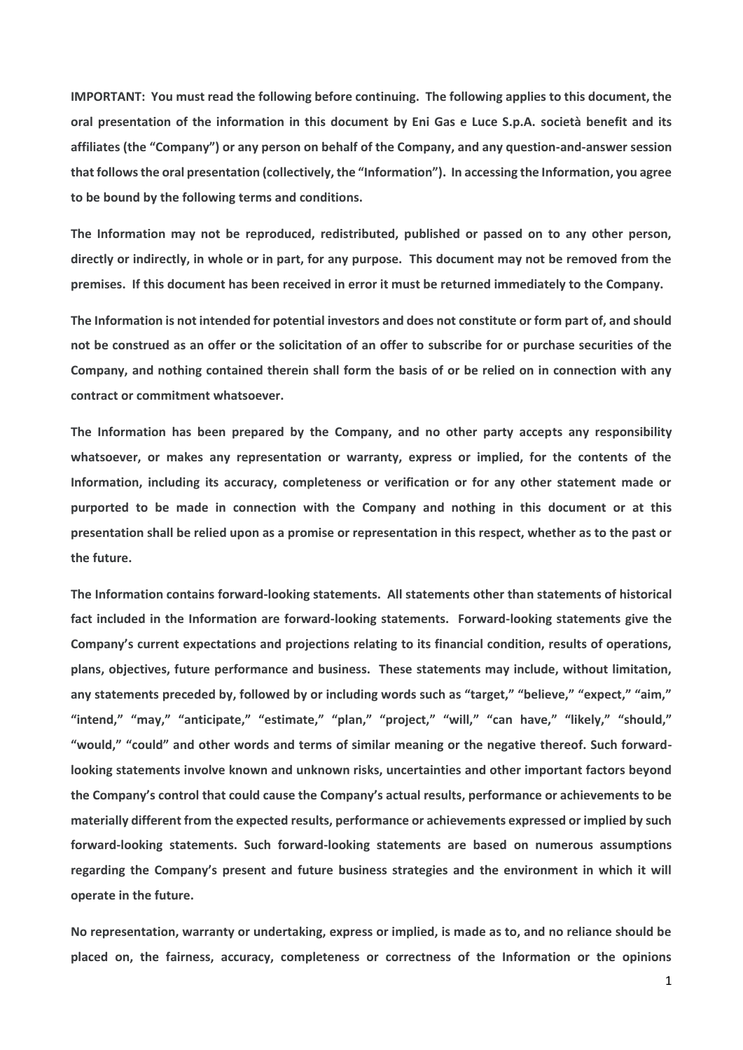**IMPORTANT: You must read the following before continuing. The following applies to this document, the oral presentation of the information in this document by Eni Gas e Luce S.p.A. società benefit and its affiliates (the "Company") or any person on behalf of the Company, and any question-and-answer session that follows the oral presentation (collectively, the "Information"). In accessing the Information, you agree to be bound by the following terms and conditions.**

**The Information may not be reproduced, redistributed, published or passed on to any other person, directly or indirectly, in whole or in part, for any purpose. This document may not be removed from the premises. If this document has been received in error it must be returned immediately to the Company.** 

**The Information is not intended for potential investors and does not constitute or form part of, and should not be construed as an offer or the solicitation of an offer to subscribe for or purchase securities of the Company, and nothing contained therein shall form the basis of or be relied on in connection with any contract or commitment whatsoever.**

**The Information has been prepared by the Company, and no other party accepts any responsibility whatsoever, or makes any representation or warranty, express or implied, for the contents of the Information, including its accuracy, completeness or verification or for any other statement made or purported to be made in connection with the Company and nothing in this document or at this presentation shall be relied upon as a promise or representation in this respect, whether as to the past or the future.** 

**The Information contains forward-looking statements. All statements other than statements of historical fact included in the Information are forward-looking statements. Forward-looking statements give the Company's current expectations and projections relating to its financial condition, results of operations, plans, objectives, future performance and business. These statements may include, without limitation, any statements preceded by, followed by or including words such as "target," "believe," "expect," "aim," "intend," "may," "anticipate," "estimate," "plan," "project," "will," "can have," "likely," "should," "would," "could" and other words and terms of similar meaning or the negative thereof. Such forwardlooking statements involve known and unknown risks, uncertainties and other important factors beyond the Company's control that could cause the Company's actual results, performance or achievements to be materially different from the expected results, performance or achievements expressed or implied by such forward-looking statements. Such forward-looking statements are based on numerous assumptions regarding the Company's present and future business strategies and the environment in which it will operate in the future.** 

**No representation, warranty or undertaking, express or implied, is made as to, and no reliance should be placed on, the fairness, accuracy, completeness or correctness of the Information or the opinions**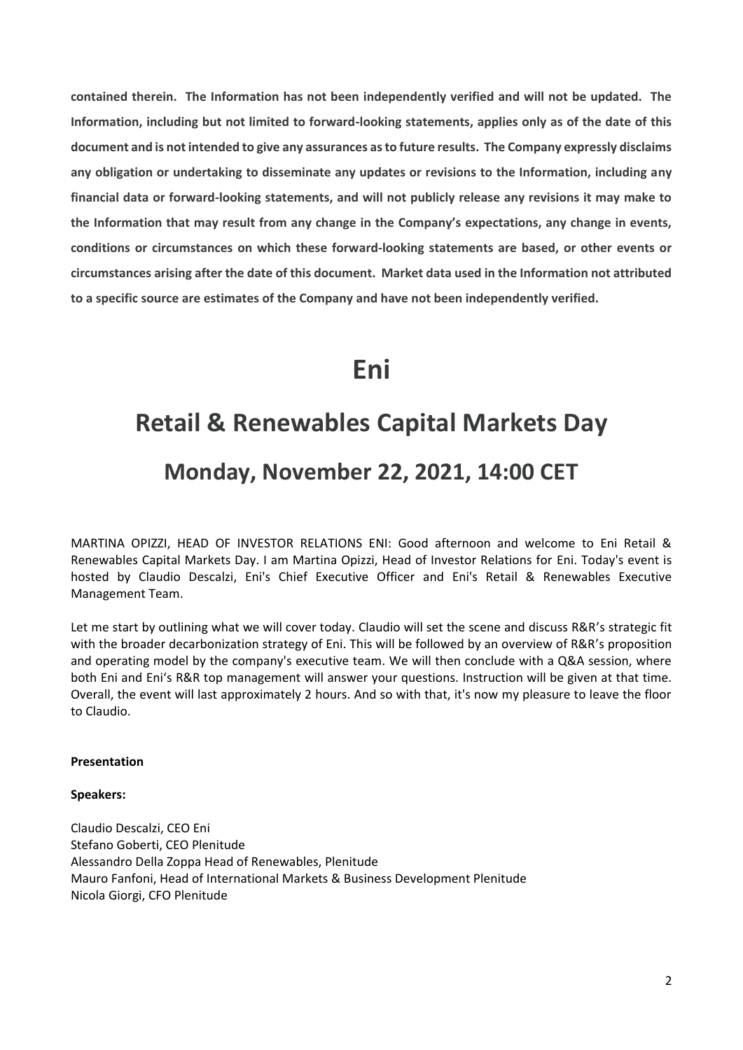**contained therein. The Information has not been independently verified and will not be updated. The Information, including but not limited to forward-looking statements, applies only as of the date of this document and is not intended to give any assurances as to future results. The Company expressly disclaims any obligation or undertaking to disseminate any updates or revisions to the Information, including any financial data or forward-looking statements, and will not publicly release any revisions it may make to the Information that may result from any change in the Company's expectations, any change in events, conditions or circumstances on which these forward-looking statements are based, or other events or circumstances arising after the date of this document. Market data used in the Information not attributed to a specific source are estimates of the Company and have not been independently verified.** 

## **Eni**

# **Retail & Renewables Capital Markets Day Monday, November 22, 2021, 14:00 CET**

MARTINA OPIZZI, HEAD OF INVESTOR RELATIONS ENI: Good afternoon and welcome to Eni Retail & Renewables Capital Markets Day. I am Martina Opizzi, Head of Investor Relations for Eni. Today's event is hosted by Claudio Descalzi, Eni's Chief Executive Officer and Eni's Retail & Renewables Executive Management Team.

Let me start by outlining what we will cover today. Claudio will set the scene and discuss R&R's strategic fit with the broader decarbonization strategy of Eni. This will be followed by an overview of R&R's proposition and operating model by the company's executive team. We will then conclude with a Q&A session, where both Eni and Eni's R&R top management will answer your questions. Instruction will be given at that time. Overall, the event will last approximately 2 hours. And so with that, it's now my pleasure to leave the floor to Claudio.

#### **Presentation**

#### **Speakers:**

Claudio Descalzi, CEO Eni Stefano Goberti, CEO Plenitude Alessandro Della Zoppa Head of Renewables, Plenitude Mauro Fanfoni, Head of International Markets & Business Development Plenitude Nicola Giorgi, CFO Plenitude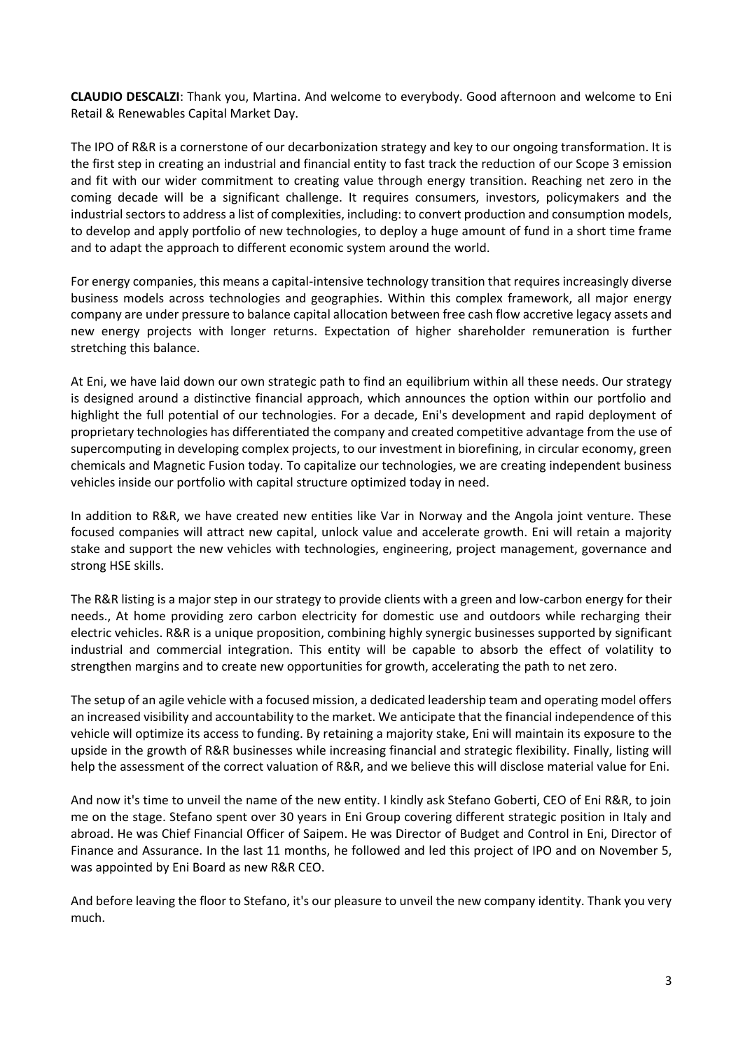**CLAUDIO DESCALZI**: Thank you, Martina. And welcome to everybody. Good afternoon and welcome to Eni Retail & Renewables Capital Market Day.

The IPO of R&R is a cornerstone of our decarbonization strategy and key to our ongoing transformation. It is the first step in creating an industrial and financial entity to fast track the reduction of our Scope 3 emission and fit with our wider commitment to creating value through energy transition. Reaching net zero in the coming decade will be a significant challenge. It requires consumers, investors, policymakers and the industrial sectors to address a list of complexities, including: to convert production and consumption models, to develop and apply portfolio of new technologies, to deploy a huge amount of fund in a short time frame and to adapt the approach to different economic system around the world.

For energy companies, this means a capital-intensive technology transition that requires increasingly diverse business models across technologies and geographies. Within this complex framework, all major energy company are under pressure to balance capital allocation between free cash flow accretive legacy assets and new energy projects with longer returns. Expectation of higher shareholder remuneration is further stretching this balance.

At Eni, we have laid down our own strategic path to find an equilibrium within all these needs. Our strategy is designed around a distinctive financial approach, which announces the option within our portfolio and highlight the full potential of our technologies. For a decade, Eni's development and rapid deployment of proprietary technologies has differentiated the company and created competitive advantage from the use of supercomputing in developing complex projects, to our investment in biorefining, in circular economy, green chemicals and Magnetic Fusion today. To capitalize our technologies, we are creating independent business vehicles inside our portfolio with capital structure optimized today in need.

In addition to R&R, we have created new entities like Var in Norway and the Angola joint venture. These focused companies will attract new capital, unlock value and accelerate growth. Eni will retain a majority stake and support the new vehicles with technologies, engineering, project management, governance and strong HSE skills.

The R&R listing is a major step in our strategy to provide clients with a green and low-carbon energy for their needs., At home providing zero carbon electricity for domestic use and outdoors while recharging their electric vehicles. R&R is a unique proposition, combining highly synergic businesses supported by significant industrial and commercial integration. This entity will be capable to absorb the effect of volatility to strengthen margins and to create new opportunities for growth, accelerating the path to net zero.

The setup of an agile vehicle with a focused mission, a dedicated leadership team and operating model offers an increased visibility and accountability to the market. We anticipate that the financial independence of this vehicle will optimize its access to funding. By retaining a majority stake, Eni will maintain its exposure to the upside in the growth of R&R businesses while increasing financial and strategic flexibility. Finally, listing will help the assessment of the correct valuation of R&R, and we believe this will disclose material value for Eni.

And now it's time to unveil the name of the new entity. I kindly ask Stefano Goberti, CEO of Eni R&R, to join me on the stage. Stefano spent over 30 years in Eni Group covering different strategic position in Italy and abroad. He was Chief Financial Officer of Saipem. He was Director of Budget and Control in Eni, Director of Finance and Assurance. In the last 11 months, he followed and led this project of IPO and on November 5, was appointed by Eni Board as new R&R CEO.

And before leaving the floor to Stefano, it's our pleasure to unveil the new company identity. Thank you very much.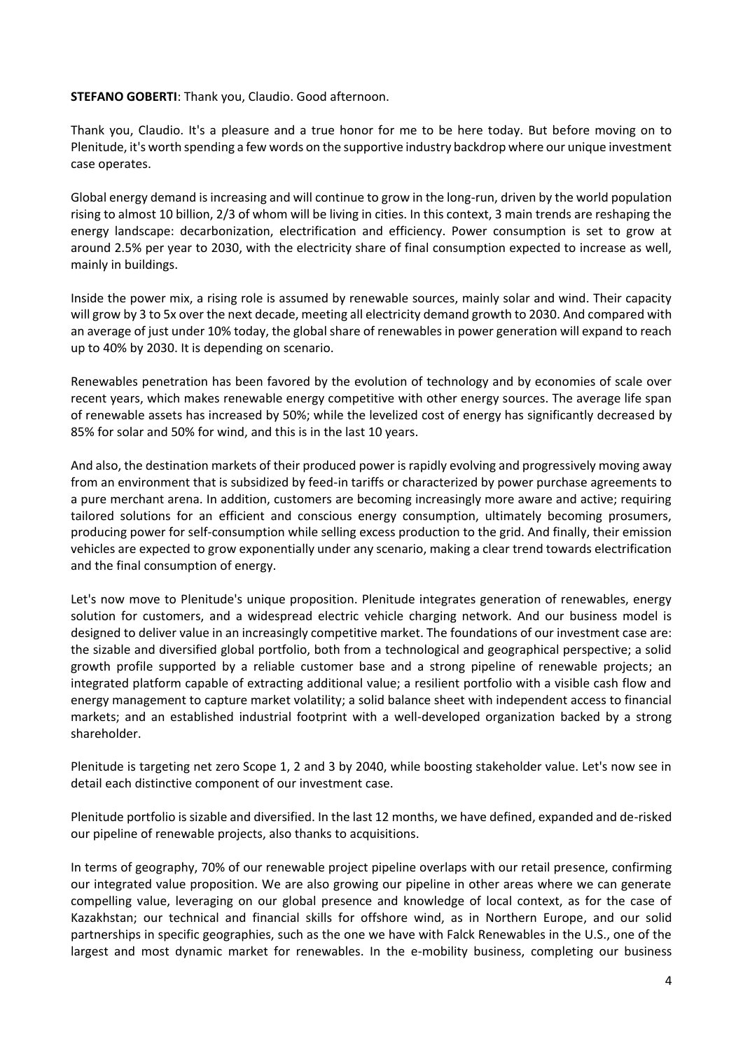#### **STEFANO GOBERTI**: Thank you, Claudio. Good afternoon.

Thank you, Claudio. It's a pleasure and a true honor for me to be here today. But before moving on to Plenitude, it's worth spending a few words on the supportive industry backdrop where our unique investment case operates.

Global energy demand is increasing and will continue to grow in the long-run, driven by the world population rising to almost 10 billion, 2/3 of whom will be living in cities. In this context, 3 main trends are reshaping the energy landscape: decarbonization, electrification and efficiency. Power consumption is set to grow at around 2.5% per year to 2030, with the electricity share of final consumption expected to increase as well, mainly in buildings.

Inside the power mix, a rising role is assumed by renewable sources, mainly solar and wind. Their capacity will grow by 3 to 5x over the next decade, meeting all electricity demand growth to 2030. And compared with an average of just under 10% today, the global share of renewables in power generation will expand to reach up to 40% by 2030. It is depending on scenario.

Renewables penetration has been favored by the evolution of technology and by economies of scale over recent years, which makes renewable energy competitive with other energy sources. The average life span of renewable assets has increased by 50%; while the levelized cost of energy has significantly decreased by 85% for solar and 50% for wind, and this is in the last 10 years.

And also, the destination markets of their produced power is rapidly evolving and progressively moving away from an environment that is subsidized by feed-in tariffs or characterized by power purchase agreements to a pure merchant arena. In addition, customers are becoming increasingly more aware and active; requiring tailored solutions for an efficient and conscious energy consumption, ultimately becoming prosumers, producing power for self-consumption while selling excess production to the grid. And finally, their emission vehicles are expected to grow exponentially under any scenario, making a clear trend towards electrification and the final consumption of energy.

Let's now move to Plenitude's unique proposition. Plenitude integrates generation of renewables, energy solution for customers, and a widespread electric vehicle charging network. And our business model is designed to deliver value in an increasingly competitive market. The foundations of our investment case are: the sizable and diversified global portfolio, both from a technological and geographical perspective; a solid growth profile supported by a reliable customer base and a strong pipeline of renewable projects; an integrated platform capable of extracting additional value; a resilient portfolio with a visible cash flow and energy management to capture market volatility; a solid balance sheet with independent access to financial markets; and an established industrial footprint with a well-developed organization backed by a strong shareholder.

Plenitude is targeting net zero Scope 1, 2 and 3 by 2040, while boosting stakeholder value. Let's now see in detail each distinctive component of our investment case.

Plenitude portfolio is sizable and diversified. In the last 12 months, we have defined, expanded and de-risked our pipeline of renewable projects, also thanks to acquisitions.

In terms of geography, 70% of our renewable project pipeline overlaps with our retail presence, confirming our integrated value proposition. We are also growing our pipeline in other areas where we can generate compelling value, leveraging on our global presence and knowledge of local context, as for the case of Kazakhstan; our technical and financial skills for offshore wind, as in Northern Europe, and our solid partnerships in specific geographies, such as the one we have with Falck Renewables in the U.S., one of the largest and most dynamic market for renewables. In the e-mobility business, completing our business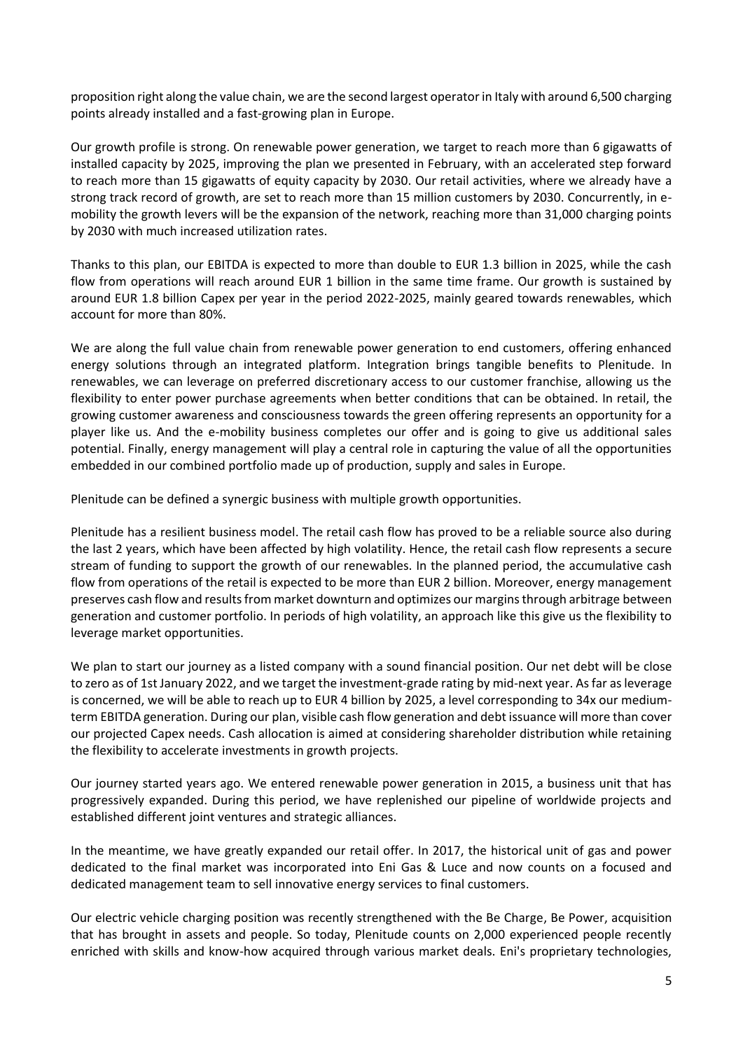proposition right along the value chain, we are the second largest operator in Italy with around 6,500 charging points already installed and a fast-growing plan in Europe.

Our growth profile is strong. On renewable power generation, we target to reach more than 6 gigawatts of installed capacity by 2025, improving the plan we presented in February, with an accelerated step forward to reach more than 15 gigawatts of equity capacity by 2030. Our retail activities, where we already have a strong track record of growth, are set to reach more than 15 million customers by 2030. Concurrently, in emobility the growth levers will be the expansion of the network, reaching more than 31,000 charging points by 2030 with much increased utilization rates.

Thanks to this plan, our EBITDA is expected to more than double to EUR 1.3 billion in 2025, while the cash flow from operations will reach around EUR 1 billion in the same time frame. Our growth is sustained by around EUR 1.8 billion Capex per year in the period 2022-2025, mainly geared towards renewables, which account for more than 80%.

We are along the full value chain from renewable power generation to end customers, offering enhanced energy solutions through an integrated platform. Integration brings tangible benefits to Plenitude. In renewables, we can leverage on preferred discretionary access to our customer franchise, allowing us the flexibility to enter power purchase agreements when better conditions that can be obtained. In retail, the growing customer awareness and consciousness towards the green offering represents an opportunity for a player like us. And the e-mobility business completes our offer and is going to give us additional sales potential. Finally, energy management will play a central role in capturing the value of all the opportunities embedded in our combined portfolio made up of production, supply and sales in Europe.

Plenitude can be defined a synergic business with multiple growth opportunities.

Plenitude has a resilient business model. The retail cash flow has proved to be a reliable source also during the last 2 years, which have been affected by high volatility. Hence, the retail cash flow represents a secure stream of funding to support the growth of our renewables. In the planned period, the accumulative cash flow from operations of the retail is expected to be more than EUR 2 billion. Moreover, energy management preserves cash flow and results from market downturn and optimizes our margins through arbitrage between generation and customer portfolio. In periods of high volatility, an approach like this give us the flexibility to leverage market opportunities.

We plan to start our journey as a listed company with a sound financial position. Our net debt will be close to zero as of 1st January 2022, and we target the investment-grade rating by mid-next year. As far as leverage is concerned, we will be able to reach up to EUR 4 billion by 2025, a level corresponding to 34x our mediumterm EBITDA generation. During our plan, visible cash flow generation and debt issuance will more than cover our projected Capex needs. Cash allocation is aimed at considering shareholder distribution while retaining the flexibility to accelerate investments in growth projects.

Our journey started years ago. We entered renewable power generation in 2015, a business unit that has progressively expanded. During this period, we have replenished our pipeline of worldwide projects and established different joint ventures and strategic alliances.

In the meantime, we have greatly expanded our retail offer. In 2017, the historical unit of gas and power dedicated to the final market was incorporated into Eni Gas & Luce and now counts on a focused and dedicated management team to sell innovative energy services to final customers.

Our electric vehicle charging position was recently strengthened with the Be Charge, Be Power, acquisition that has brought in assets and people. So today, Plenitude counts on 2,000 experienced people recently enriched with skills and know-how acquired through various market deals. Eni's proprietary technologies,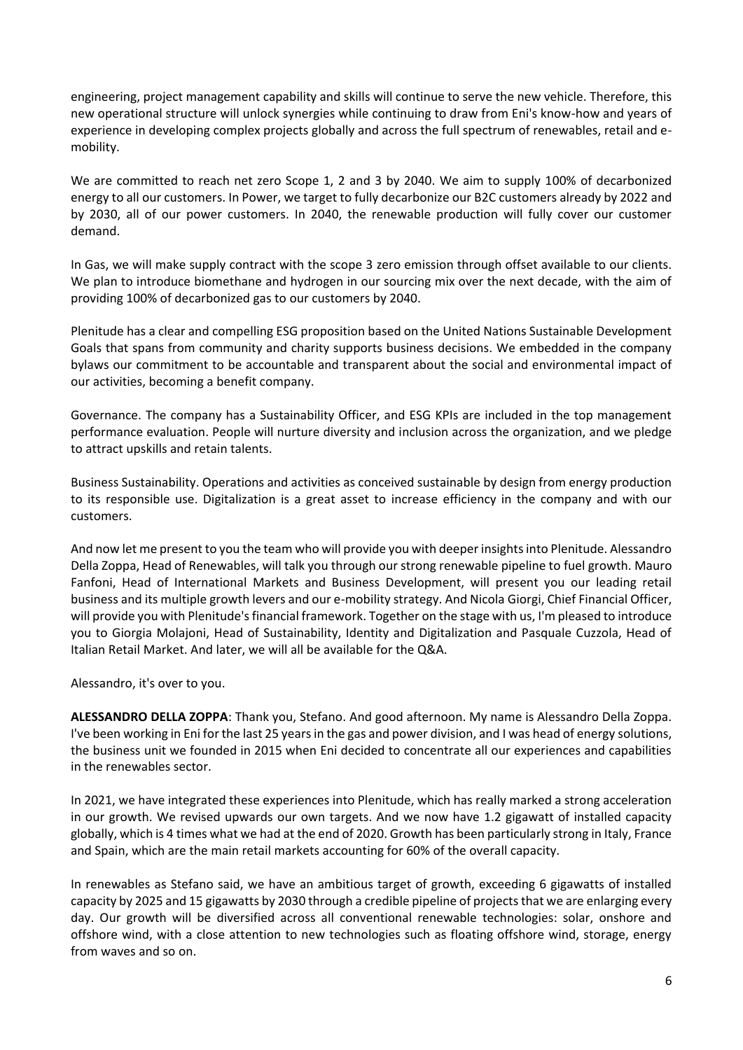engineering, project management capability and skills will continue to serve the new vehicle. Therefore, this new operational structure will unlock synergies while continuing to draw from Eni's know-how and years of experience in developing complex projects globally and across the full spectrum of renewables, retail and emobility.

We are committed to reach net zero Scope 1, 2 and 3 by 2040. We aim to supply 100% of decarbonized energy to all our customers. In Power, we target to fully decarbonize our B2C customers already by 2022 and by 2030, all of our power customers. In 2040, the renewable production will fully cover our customer demand.

In Gas, we will make supply contract with the scope 3 zero emission through offset available to our clients. We plan to introduce biomethane and hydrogen in our sourcing mix over the next decade, with the aim of providing 100% of decarbonized gas to our customers by 2040.

Plenitude has a clear and compelling ESG proposition based on the United Nations Sustainable Development Goals that spans from community and charity supports business decisions. We embedded in the company bylaws our commitment to be accountable and transparent about the social and environmental impact of our activities, becoming a benefit company.

Governance. The company has a Sustainability Officer, and ESG KPIs are included in the top management performance evaluation. People will nurture diversity and inclusion across the organization, and we pledge to attract upskills and retain talents.

Business Sustainability. Operations and activities as conceived sustainable by design from energy production to its responsible use. Digitalization is a great asset to increase efficiency in the company and with our customers.

And now let me present to you the team who will provide you with deeper insights into Plenitude. Alessandro Della Zoppa, Head of Renewables, will talk you through our strong renewable pipeline to fuel growth. Mauro Fanfoni, Head of International Markets and Business Development, will present you our leading retail business and its multiple growth levers and our e-mobility strategy. And Nicola Giorgi, Chief Financial Officer, will provide you with Plenitude's financial framework. Together on the stage with us, I'm pleased to introduce you to Giorgia Molajoni, Head of Sustainability, Identity and Digitalization and Pasquale Cuzzola, Head of Italian Retail Market. And later, we will all be available for the Q&A.

Alessandro, it's over to you.

**ALESSANDRO DELLA ZOPPA**: Thank you, Stefano. And good afternoon. My name is Alessandro Della Zoppa. I've been working in Eni for the last 25 years in the gas and power division, and I was head of energy solutions, the business unit we founded in 2015 when Eni decided to concentrate all our experiences and capabilities in the renewables sector.

In 2021, we have integrated these experiences into Plenitude, which has really marked a strong acceleration in our growth. We revised upwards our own targets. And we now have 1.2 gigawatt of installed capacity globally, which is 4 times what we had at the end of 2020. Growth has been particularly strong in Italy, France and Spain, which are the main retail markets accounting for 60% of the overall capacity.

In renewables as Stefano said, we have an ambitious target of growth, exceeding 6 gigawatts of installed capacity by 2025 and 15 gigawatts by 2030 through a credible pipeline of projects that we are enlarging every day. Our growth will be diversified across all conventional renewable technologies: solar, onshore and offshore wind, with a close attention to new technologies such as floating offshore wind, storage, energy from waves and so on.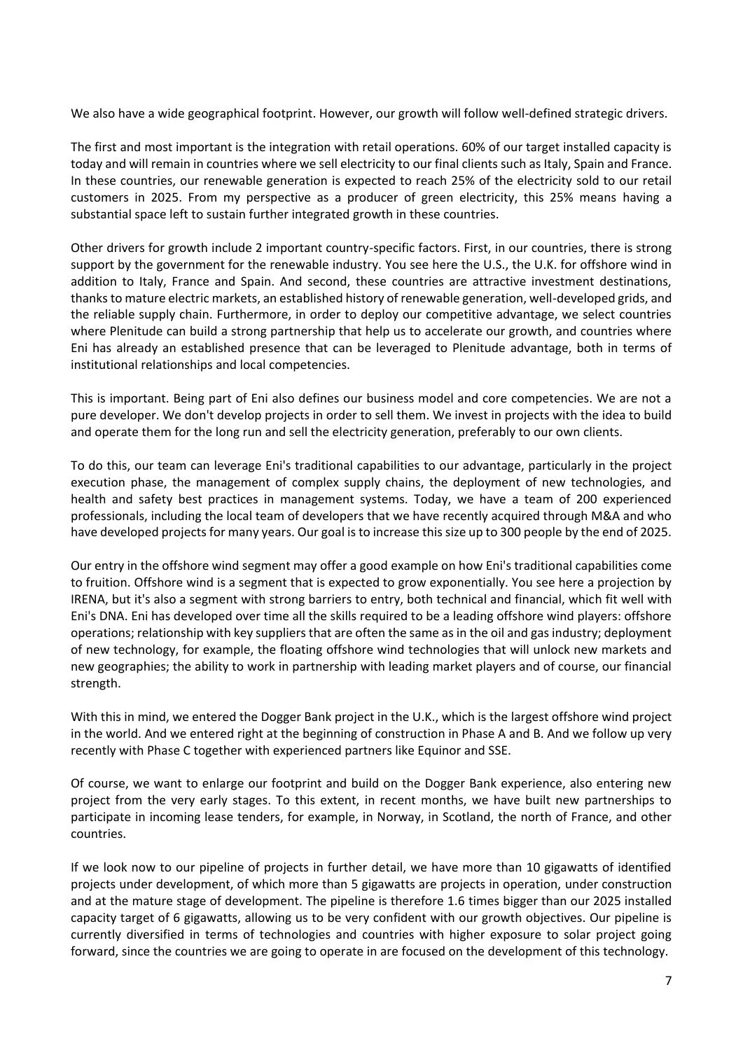We also have a wide geographical footprint. However, our growth will follow well-defined strategic drivers.

The first and most important is the integration with retail operations. 60% of our target installed capacity is today and will remain in countries where we sell electricity to our final clients such as Italy, Spain and France. In these countries, our renewable generation is expected to reach 25% of the electricity sold to our retail customers in 2025. From my perspective as a producer of green electricity, this 25% means having a substantial space left to sustain further integrated growth in these countries.

Other drivers for growth include 2 important country-specific factors. First, in our countries, there is strong support by the government for the renewable industry. You see here the U.S., the U.K. for offshore wind in addition to Italy, France and Spain. And second, these countries are attractive investment destinations, thanks to mature electric markets, an established history of renewable generation, well-developed grids, and the reliable supply chain. Furthermore, in order to deploy our competitive advantage, we select countries where Plenitude can build a strong partnership that help us to accelerate our growth, and countries where Eni has already an established presence that can be leveraged to Plenitude advantage, both in terms of institutional relationships and local competencies.

This is important. Being part of Eni also defines our business model and core competencies. We are not a pure developer. We don't develop projects in order to sell them. We invest in projects with the idea to build and operate them for the long run and sell the electricity generation, preferably to our own clients.

To do this, our team can leverage Eni's traditional capabilities to our advantage, particularly in the project execution phase, the management of complex supply chains, the deployment of new technologies, and health and safety best practices in management systems. Today, we have a team of 200 experienced professionals, including the local team of developers that we have recently acquired through M&A and who have developed projects for many years. Our goal is to increase this size up to 300 people by the end of 2025.

Our entry in the offshore wind segment may offer a good example on how Eni's traditional capabilities come to fruition. Offshore wind is a segment that is expected to grow exponentially. You see here a projection by IRENA, but it's also a segment with strong barriers to entry, both technical and financial, which fit well with Eni's DNA. Eni has developed over time all the skills required to be a leading offshore wind players: offshore operations; relationship with key suppliers that are often the same as in the oil and gas industry; deployment of new technology, for example, the floating offshore wind technologies that will unlock new markets and new geographies; the ability to work in partnership with leading market players and of course, our financial strength.

With this in mind, we entered the Dogger Bank project in the U.K., which is the largest offshore wind project in the world. And we entered right at the beginning of construction in Phase A and B. And we follow up very recently with Phase C together with experienced partners like Equinor and SSE.

Of course, we want to enlarge our footprint and build on the Dogger Bank experience, also entering new project from the very early stages. To this extent, in recent months, we have built new partnerships to participate in incoming lease tenders, for example, in Norway, in Scotland, the north of France, and other countries.

If we look now to our pipeline of projects in further detail, we have more than 10 gigawatts of identified projects under development, of which more than 5 gigawatts are projects in operation, under construction and at the mature stage of development. The pipeline is therefore 1.6 times bigger than our 2025 installed capacity target of 6 gigawatts, allowing us to be very confident with our growth objectives. Our pipeline is currently diversified in terms of technologies and countries with higher exposure to solar project going forward, since the countries we are going to operate in are focused on the development of this technology.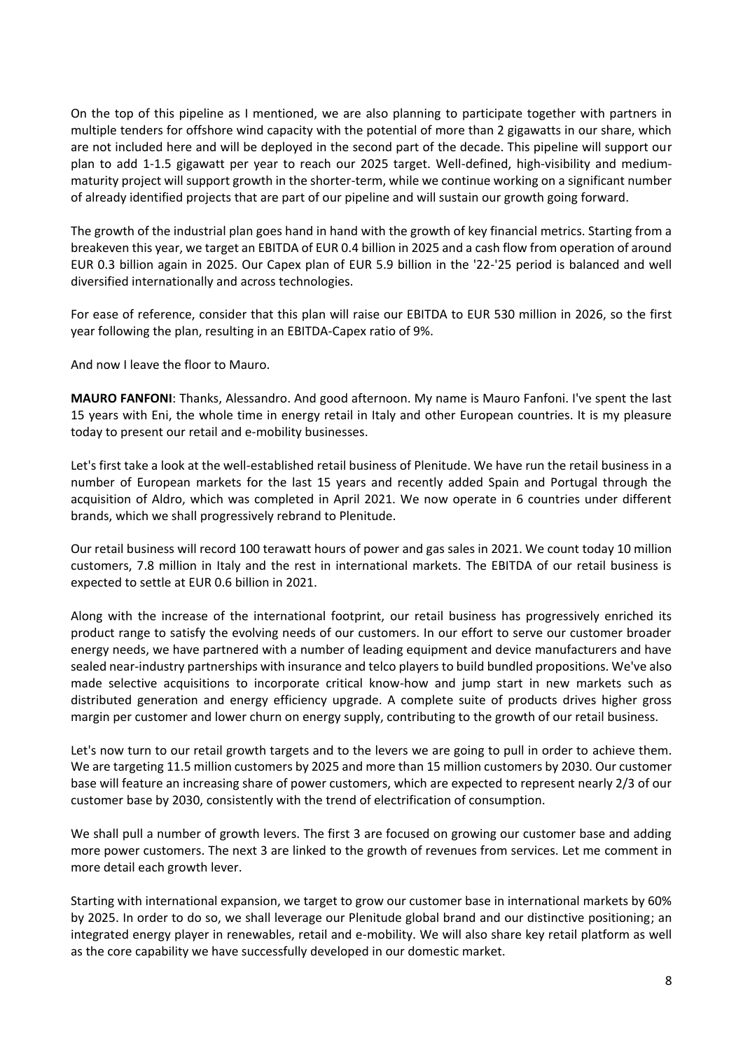On the top of this pipeline as I mentioned, we are also planning to participate together with partners in multiple tenders for offshore wind capacity with the potential of more than 2 gigawatts in our share, which are not included here and will be deployed in the second part of the decade. This pipeline will support our plan to add 1-1.5 gigawatt per year to reach our 2025 target. Well-defined, high-visibility and mediummaturity project will support growth in the shorter-term, while we continue working on a significant number of already identified projects that are part of our pipeline and will sustain our growth going forward.

The growth of the industrial plan goes hand in hand with the growth of key financial metrics. Starting from a breakeven this year, we target an EBITDA of EUR 0.4 billion in 2025 and a cash flow from operation of around EUR 0.3 billion again in 2025. Our Capex plan of EUR 5.9 billion in the '22-'25 period is balanced and well diversified internationally and across technologies.

For ease of reference, consider that this plan will raise our EBITDA to EUR 530 million in 2026, so the first year following the plan, resulting in an EBITDA-Capex ratio of 9%.

And now I leave the floor to Mauro.

**MAURO FANFONI**: Thanks, Alessandro. And good afternoon. My name is Mauro Fanfoni. I've spent the last 15 years with Eni, the whole time in energy retail in Italy and other European countries. It is my pleasure today to present our retail and e-mobility businesses.

Let's first take a look at the well-established retail business of Plenitude. We have run the retail business in a number of European markets for the last 15 years and recently added Spain and Portugal through the acquisition of Aldro, which was completed in April 2021. We now operate in 6 countries under different brands, which we shall progressively rebrand to Plenitude.

Our retail business will record 100 terawatt hours of power and gas sales in 2021. We count today 10 million customers, 7.8 million in Italy and the rest in international markets. The EBITDA of our retail business is expected to settle at EUR 0.6 billion in 2021.

Along with the increase of the international footprint, our retail business has progressively enriched its product range to satisfy the evolving needs of our customers. In our effort to serve our customer broader energy needs, we have partnered with a number of leading equipment and device manufacturers and have sealed near-industry partnerships with insurance and telco players to build bundled propositions. We've also made selective acquisitions to incorporate critical know-how and jump start in new markets such as distributed generation and energy efficiency upgrade. A complete suite of products drives higher gross margin per customer and lower churn on energy supply, contributing to the growth of our retail business.

Let's now turn to our retail growth targets and to the levers we are going to pull in order to achieve them. We are targeting 11.5 million customers by 2025 and more than 15 million customers by 2030. Our customer base will feature an increasing share of power customers, which are expected to represent nearly 2/3 of our customer base by 2030, consistently with the trend of electrification of consumption.

We shall pull a number of growth levers. The first 3 are focused on growing our customer base and adding more power customers. The next 3 are linked to the growth of revenues from services. Let me comment in more detail each growth lever.

Starting with international expansion, we target to grow our customer base in international markets by 60% by 2025. In order to do so, we shall leverage our Plenitude global brand and our distinctive positioning; an integrated energy player in renewables, retail and e-mobility. We will also share key retail platform as well as the core capability we have successfully developed in our domestic market.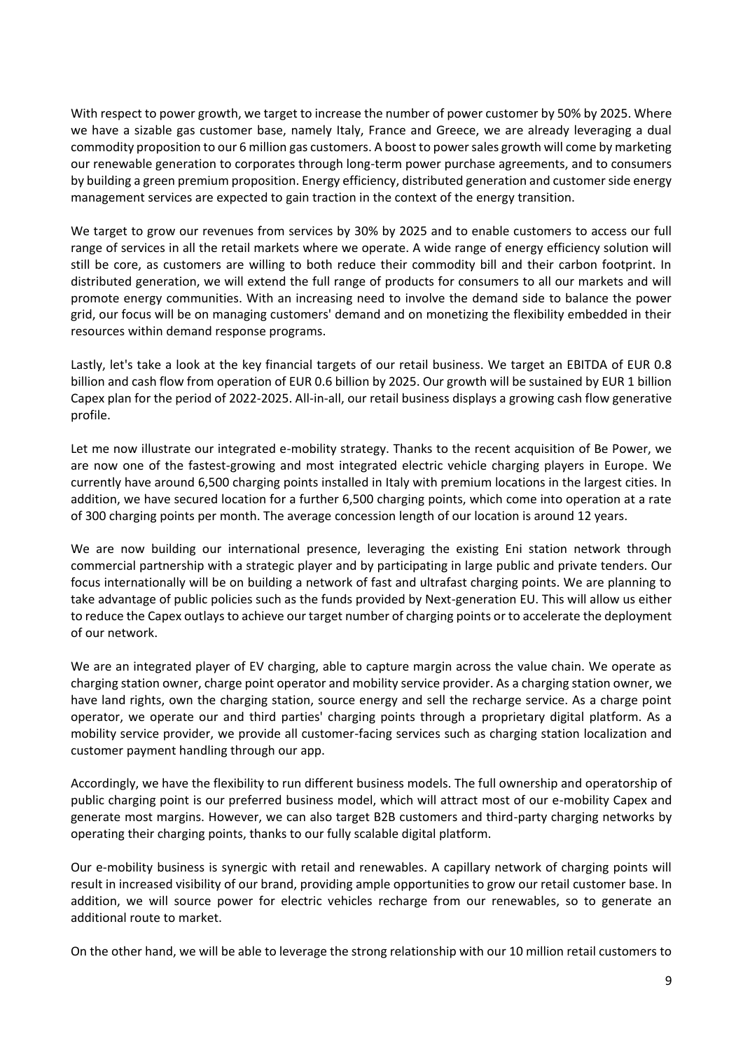With respect to power growth, we target to increase the number of power customer by 50% by 2025. Where we have a sizable gas customer base, namely Italy, France and Greece, we are already leveraging a dual commodity proposition to our 6 million gas customers. A boost to power sales growth will come by marketing our renewable generation to corporates through long-term power purchase agreements, and to consumers by building a green premium proposition. Energy efficiency, distributed generation and customer side energy management services are expected to gain traction in the context of the energy transition.

We target to grow our revenues from services by 30% by 2025 and to enable customers to access our full range of services in all the retail markets where we operate. A wide range of energy efficiency solution will still be core, as customers are willing to both reduce their commodity bill and their carbon footprint. In distributed generation, we will extend the full range of products for consumers to all our markets and will promote energy communities. With an increasing need to involve the demand side to balance the power grid, our focus will be on managing customers' demand and on monetizing the flexibility embedded in their resources within demand response programs.

Lastly, let's take a look at the key financial targets of our retail business. We target an EBITDA of EUR 0.8 billion and cash flow from operation of EUR 0.6 billion by 2025. Our growth will be sustained by EUR 1 billion Capex plan for the period of 2022-2025. All-in-all, our retail business displays a growing cash flow generative profile.

Let me now illustrate our integrated e-mobility strategy. Thanks to the recent acquisition of Be Power, we are now one of the fastest-growing and most integrated electric vehicle charging players in Europe. We currently have around 6,500 charging points installed in Italy with premium locations in the largest cities. In addition, we have secured location for a further 6,500 charging points, which come into operation at a rate of 300 charging points per month. The average concession length of our location is around 12 years.

We are now building our international presence, leveraging the existing Eni station network through commercial partnership with a strategic player and by participating in large public and private tenders. Our focus internationally will be on building a network of fast and ultrafast charging points. We are planning to take advantage of public policies such as the funds provided by Next-generation EU. This will allow us either to reduce the Capex outlays to achieve our target number of charging points or to accelerate the deployment of our network.

We are an integrated player of EV charging, able to capture margin across the value chain. We operate as charging station owner, charge point operator and mobility service provider. As a charging station owner, we have land rights, own the charging station, source energy and sell the recharge service. As a charge point operator, we operate our and third parties' charging points through a proprietary digital platform. As a mobility service provider, we provide all customer-facing services such as charging station localization and customer payment handling through our app.

Accordingly, we have the flexibility to run different business models. The full ownership and operatorship of public charging point is our preferred business model, which will attract most of our e-mobility Capex and generate most margins. However, we can also target B2B customers and third-party charging networks by operating their charging points, thanks to our fully scalable digital platform.

Our e-mobility business is synergic with retail and renewables. A capillary network of charging points will result in increased visibility of our brand, providing ample opportunities to grow our retail customer base. In addition, we will source power for electric vehicles recharge from our renewables, so to generate an additional route to market.

On the other hand, we will be able to leverage the strong relationship with our 10 million retail customers to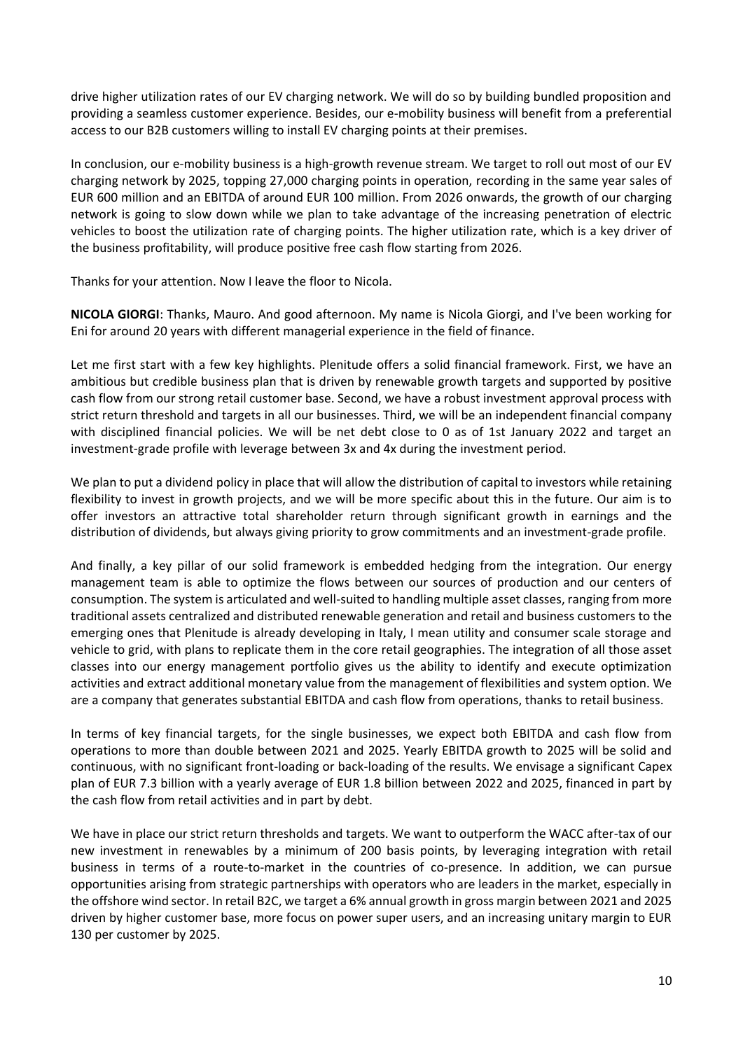drive higher utilization rates of our EV charging network. We will do so by building bundled proposition and providing a seamless customer experience. Besides, our e-mobility business will benefit from a preferential access to our B2B customers willing to install EV charging points at their premises.

In conclusion, our e-mobility business is a high-growth revenue stream. We target to roll out most of our EV charging network by 2025, topping 27,000 charging points in operation, recording in the same year sales of EUR 600 million and an EBITDA of around EUR 100 million. From 2026 onwards, the growth of our charging network is going to slow down while we plan to take advantage of the increasing penetration of electric vehicles to boost the utilization rate of charging points. The higher utilization rate, which is a key driver of the business profitability, will produce positive free cash flow starting from 2026.

Thanks for your attention. Now I leave the floor to Nicola.

**NICOLA GIORGI**: Thanks, Mauro. And good afternoon. My name is Nicola Giorgi, and I've been working for Eni for around 20 years with different managerial experience in the field of finance.

Let me first start with a few key highlights. Plenitude offers a solid financial framework. First, we have an ambitious but credible business plan that is driven by renewable growth targets and supported by positive cash flow from our strong retail customer base. Second, we have a robust investment approval process with strict return threshold and targets in all our businesses. Third, we will be an independent financial company with disciplined financial policies. We will be net debt close to 0 as of 1st January 2022 and target an investment-grade profile with leverage between 3x and 4x during the investment period.

We plan to put a dividend policy in place that will allow the distribution of capital to investors while retaining flexibility to invest in growth projects, and we will be more specific about this in the future. Our aim is to offer investors an attractive total shareholder return through significant growth in earnings and the distribution of dividends, but always giving priority to grow commitments and an investment-grade profile.

And finally, a key pillar of our solid framework is embedded hedging from the integration. Our energy management team is able to optimize the flows between our sources of production and our centers of consumption. The system is articulated and well-suited to handling multiple asset classes, ranging from more traditional assets centralized and distributed renewable generation and retail and business customers to the emerging ones that Plenitude is already developing in Italy, I mean utility and consumer scale storage and vehicle to grid, with plans to replicate them in the core retail geographies. The integration of all those asset classes into our energy management portfolio gives us the ability to identify and execute optimization activities and extract additional monetary value from the management of flexibilities and system option. We are a company that generates substantial EBITDA and cash flow from operations, thanks to retail business.

In terms of key financial targets, for the single businesses, we expect both EBITDA and cash flow from operations to more than double between 2021 and 2025. Yearly EBITDA growth to 2025 will be solid and continuous, with no significant front-loading or back-loading of the results. We envisage a significant Capex plan of EUR 7.3 billion with a yearly average of EUR 1.8 billion between 2022 and 2025, financed in part by the cash flow from retail activities and in part by debt.

We have in place our strict return thresholds and targets. We want to outperform the WACC after-tax of our new investment in renewables by a minimum of 200 basis points, by leveraging integration with retail business in terms of a route-to-market in the countries of co-presence. In addition, we can pursue opportunities arising from strategic partnerships with operators who are leaders in the market, especially in the offshore wind sector. In retail B2C, we target a 6% annual growth in gross margin between 2021 and 2025 driven by higher customer base, more focus on power super users, and an increasing unitary margin to EUR 130 per customer by 2025.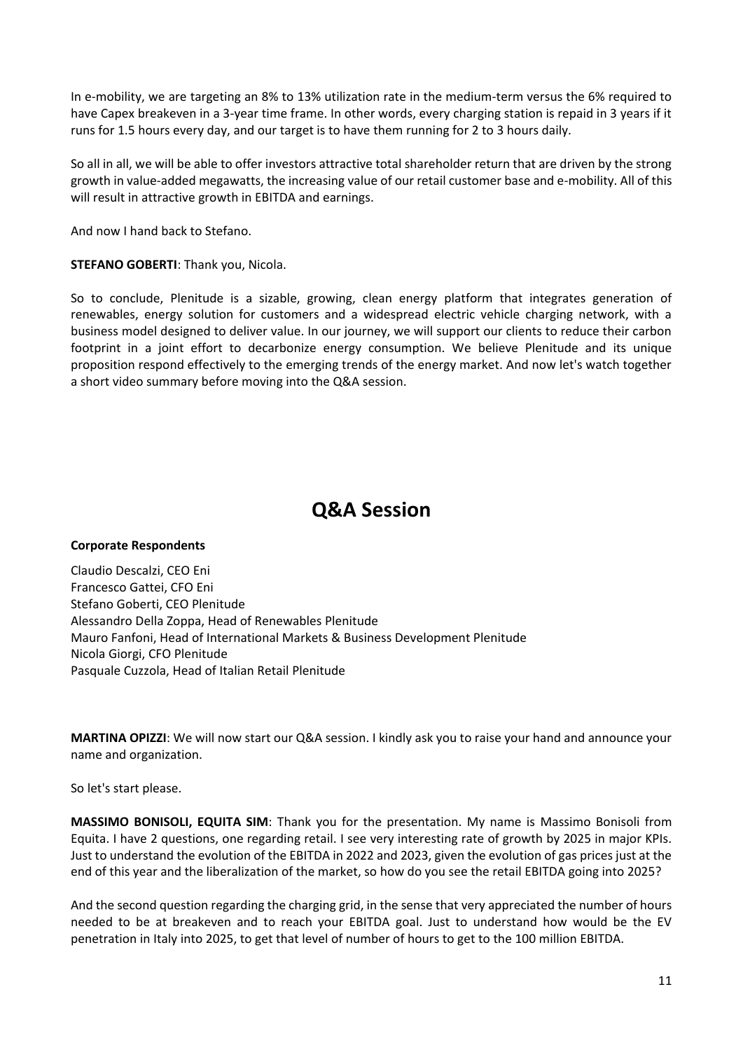In e-mobility, we are targeting an 8% to 13% utilization rate in the medium-term versus the 6% required to have Capex breakeven in a 3-year time frame. In other words, every charging station is repaid in 3 years if it runs for 1.5 hours every day, and our target is to have them running for 2 to 3 hours daily.

So all in all, we will be able to offer investors attractive total shareholder return that are driven by the strong growth in value-added megawatts, the increasing value of our retail customer base and e-mobility. All of this will result in attractive growth in EBITDA and earnings.

And now I hand back to Stefano.

**STEFANO GOBERTI**: Thank you, Nicola.

So to conclude, Plenitude is a sizable, growing, clean energy platform that integrates generation of renewables, energy solution for customers and a widespread electric vehicle charging network, with a business model designed to deliver value. In our journey, we will support our clients to reduce their carbon footprint in a joint effort to decarbonize energy consumption. We believe Plenitude and its unique proposition respond effectively to the emerging trends of the energy market. And now let's watch together a short video summary before moving into the Q&A session.

### **Q&A Session**

#### **Corporate Respondents**

Claudio Descalzi, CEO Eni Francesco Gattei, CFO Eni Stefano Goberti, CEO Plenitude Alessandro Della Zoppa, Head of Renewables Plenitude Mauro Fanfoni, Head of International Markets & Business Development Plenitude Nicola Giorgi, CFO Plenitude Pasquale Cuzzola, Head of Italian Retail Plenitude

**MARTINA OPIZZI**: We will now start our Q&A session. I kindly ask you to raise your hand and announce your name and organization.

So let's start please.

**MASSIMO BONISOLI, EQUITA SIM**: Thank you for the presentation. My name is Massimo Bonisoli from Equita. I have 2 questions, one regarding retail. I see very interesting rate of growth by 2025 in major KPIs. Just to understand the evolution of the EBITDA in 2022 and 2023, given the evolution of gas prices just at the end of this year and the liberalization of the market, so how do you see the retail EBITDA going into 2025?

And the second question regarding the charging grid, in the sense that very appreciated the number of hours needed to be at breakeven and to reach your EBITDA goal. Just to understand how would be the EV penetration in Italy into 2025, to get that level of number of hours to get to the 100 million EBITDA.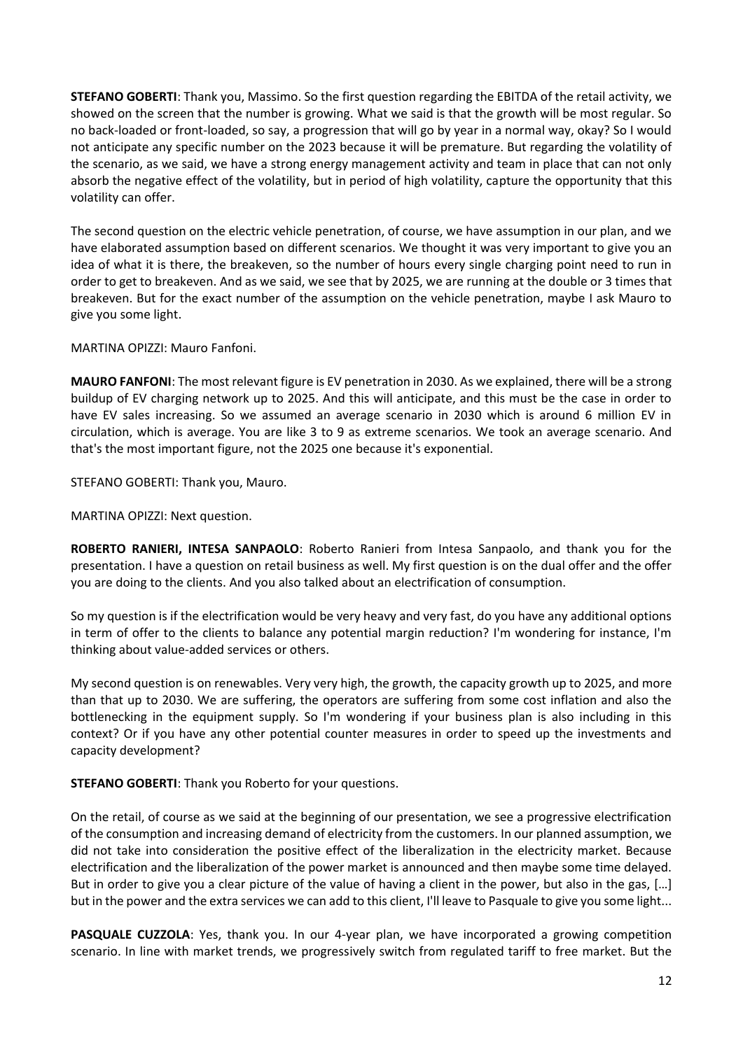**STEFANO GOBERTI**: Thank you, Massimo. So the first question regarding the EBITDA of the retail activity, we showed on the screen that the number is growing. What we said is that the growth will be most regular. So no back-loaded or front-loaded, so say, a progression that will go by year in a normal way, okay? So I would not anticipate any specific number on the 2023 because it will be premature. But regarding the volatility of the scenario, as we said, we have a strong energy management activity and team in place that can not only absorb the negative effect of the volatility, but in period of high volatility, capture the opportunity that this volatility can offer.

The second question on the electric vehicle penetration, of course, we have assumption in our plan, and we have elaborated assumption based on different scenarios. We thought it was very important to give you an idea of what it is there, the breakeven, so the number of hours every single charging point need to run in order to get to breakeven. And as we said, we see that by 2025, we are running at the double or 3 times that breakeven. But for the exact number of the assumption on the vehicle penetration, maybe I ask Mauro to give you some light.

MARTINA OPIZZI: Mauro Fanfoni.

**MAURO FANFONI**: The most relevant figure is EV penetration in 2030. As we explained, there will be a strong buildup of EV charging network up to 2025. And this will anticipate, and this must be the case in order to have EV sales increasing. So we assumed an average scenario in 2030 which is around 6 million EV in circulation, which is average. You are like 3 to 9 as extreme scenarios. We took an average scenario. And that's the most important figure, not the 2025 one because it's exponential.

STEFANO GOBERTI: Thank you, Mauro.

MARTINA OPIZZI: Next question.

**ROBERTO RANIERI, INTESA SANPAOLO**: Roberto Ranieri from Intesa Sanpaolo, and thank you for the presentation. I have a question on retail business as well. My first question is on the dual offer and the offer you are doing to the clients. And you also talked about an electrification of consumption.

So my question is if the electrification would be very heavy and very fast, do you have any additional options in term of offer to the clients to balance any potential margin reduction? I'm wondering for instance, I'm thinking about value-added services or others.

My second question is on renewables. Very very high, the growth, the capacity growth up to 2025, and more than that up to 2030. We are suffering, the operators are suffering from some cost inflation and also the bottlenecking in the equipment supply. So I'm wondering if your business plan is also including in this context? Or if you have any other potential counter measures in order to speed up the investments and capacity development?

**STEFANO GOBERTI**: Thank you Roberto for your questions.

On the retail, of course as we said at the beginning of our presentation, we see a progressive electrification of the consumption and increasing demand of electricity from the customers. In our planned assumption, we did not take into consideration the positive effect of the liberalization in the electricity market. Because electrification and the liberalization of the power market is announced and then maybe some time delayed. But in order to give you a clear picture of the value of having a client in the power, but also in the gas, [...] but in the power and the extra services we can add to this client, I'll leave to Pasquale to give you some light...

**PASQUALE CUZZOLA**: Yes, thank you. In our 4-year plan, we have incorporated a growing competition scenario. In line with market trends, we progressively switch from regulated tariff to free market. But the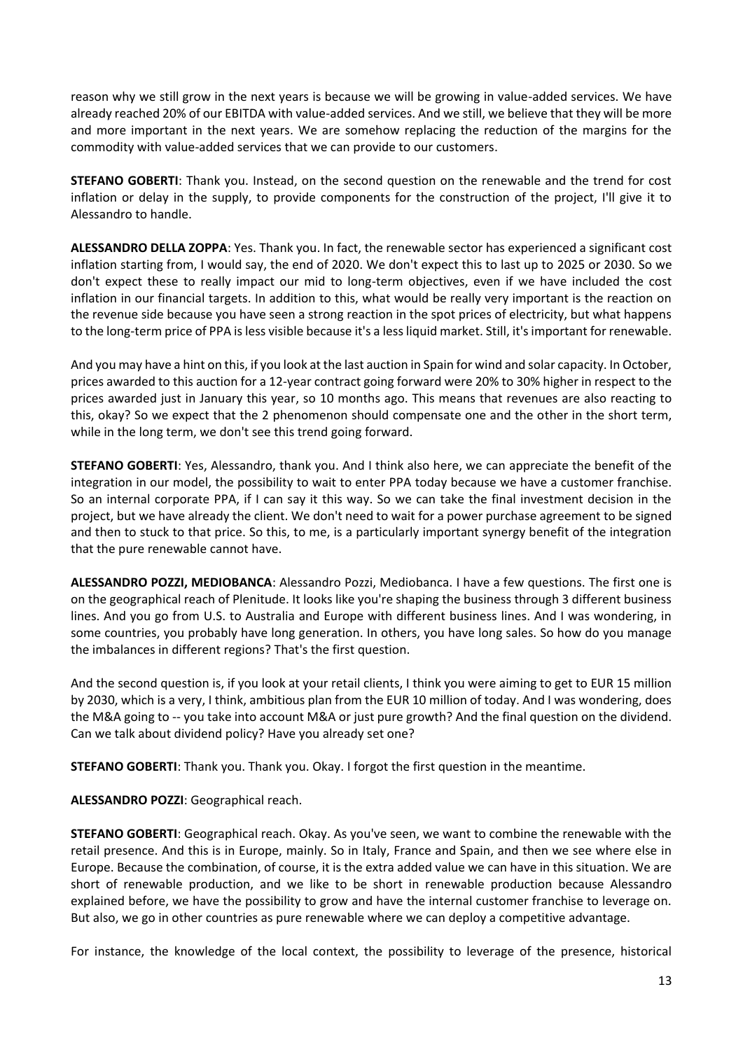reason why we still grow in the next years is because we will be growing in value-added services. We have already reached 20% of our EBITDA with value-added services. And we still, we believe that they will be more and more important in the next years. We are somehow replacing the reduction of the margins for the commodity with value-added services that we can provide to our customers.

**STEFANO GOBERTI**: Thank you. Instead, on the second question on the renewable and the trend for cost inflation or delay in the supply, to provide components for the construction of the project, I'll give it to Alessandro to handle.

**ALESSANDRO DELLA ZOPPA**: Yes. Thank you. In fact, the renewable sector has experienced a significant cost inflation starting from, I would say, the end of 2020. We don't expect this to last up to 2025 or 2030. So we don't expect these to really impact our mid to long-term objectives, even if we have included the cost inflation in our financial targets. In addition to this, what would be really very important is the reaction on the revenue side because you have seen a strong reaction in the spot prices of electricity, but what happens to the long-term price of PPA is less visible because it's a less liquid market. Still, it's important for renewable.

And you may have a hint on this, if you look at the last auction in Spain for wind and solar capacity. In October, prices awarded to this auction for a 12-year contract going forward were 20% to 30% higher in respect to the prices awarded just in January this year, so 10 months ago. This means that revenues are also reacting to this, okay? So we expect that the 2 phenomenon should compensate one and the other in the short term, while in the long term, we don't see this trend going forward.

**STEFANO GOBERTI**: Yes, Alessandro, thank you. And I think also here, we can appreciate the benefit of the integration in our model, the possibility to wait to enter PPA today because we have a customer franchise. So an internal corporate PPA, if I can say it this way. So we can take the final investment decision in the project, but we have already the client. We don't need to wait for a power purchase agreement to be signed and then to stuck to that price. So this, to me, is a particularly important synergy benefit of the integration that the pure renewable cannot have.

**ALESSANDRO POZZI, MEDIOBANCA**: Alessandro Pozzi, Mediobanca. I have a few questions. The first one is on the geographical reach of Plenitude. It looks like you're shaping the business through 3 different business lines. And you go from U.S. to Australia and Europe with different business lines. And I was wondering, in some countries, you probably have long generation. In others, you have long sales. So how do you manage the imbalances in different regions? That's the first question.

And the second question is, if you look at your retail clients, I think you were aiming to get to EUR 15 million by 2030, which is a very, I think, ambitious plan from the EUR 10 million of today. And I was wondering, does the M&A going to -- you take into account M&A or just pure growth? And the final question on the dividend. Can we talk about dividend policy? Have you already set one?

**STEFANO GOBERTI**: Thank you. Thank you. Okay. I forgot the first question in the meantime.

**ALESSANDRO POZZI**: Geographical reach.

**STEFANO GOBERTI**: Geographical reach. Okay. As you've seen, we want to combine the renewable with the retail presence. And this is in Europe, mainly. So in Italy, France and Spain, and then we see where else in Europe. Because the combination, of course, it is the extra added value we can have in this situation. We are short of renewable production, and we like to be short in renewable production because Alessandro explained before, we have the possibility to grow and have the internal customer franchise to leverage on. But also, we go in other countries as pure renewable where we can deploy a competitive advantage.

For instance, the knowledge of the local context, the possibility to leverage of the presence, historical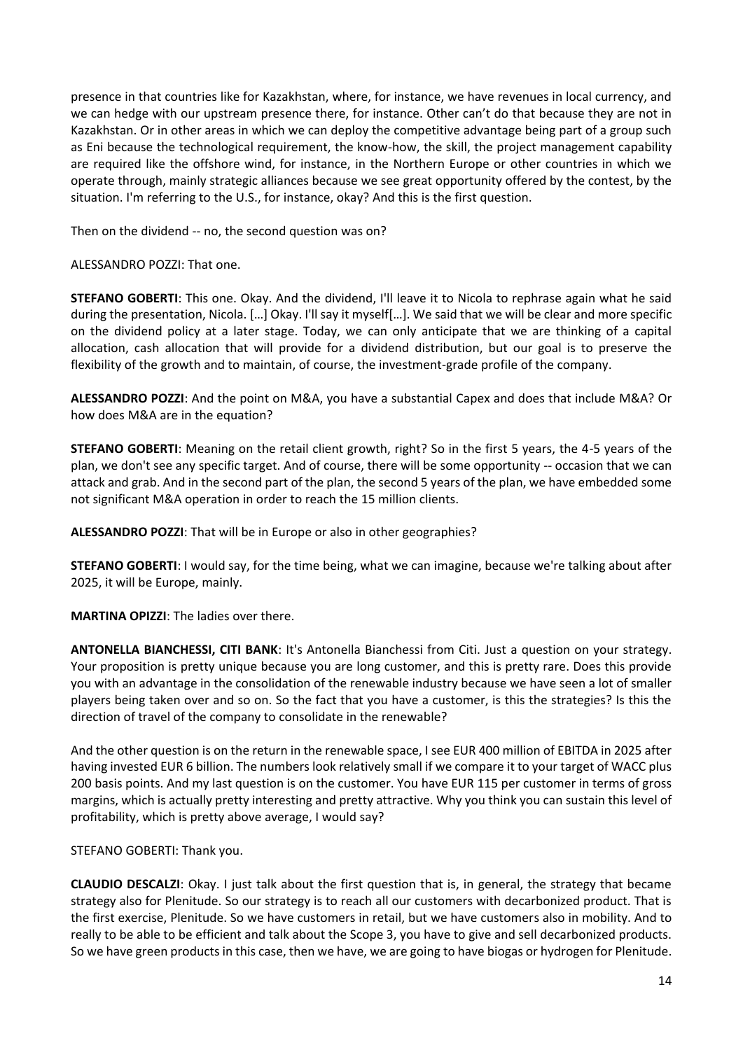presence in that countries like for Kazakhstan, where, for instance, we have revenues in local currency, and we can hedge with our upstream presence there, for instance. Other can't do that because they are not in Kazakhstan. Or in other areas in which we can deploy the competitive advantage being part of a group such as Eni because the technological requirement, the know-how, the skill, the project management capability are required like the offshore wind, for instance, in the Northern Europe or other countries in which we operate through, mainly strategic alliances because we see great opportunity offered by the contest, by the situation. I'm referring to the U.S., for instance, okay? And this is the first question.

Then on the dividend -- no, the second question was on?

ALESSANDRO POZZI: That one.

**STEFANO GOBERTI**: This one. Okay. And the dividend, I'll leave it to Nicola to rephrase again what he said during the presentation, Nicola. […] Okay. I'll say it myself[…]. We said that we will be clear and more specific on the dividend policy at a later stage. Today, we can only anticipate that we are thinking of a capital allocation, cash allocation that will provide for a dividend distribution, but our goal is to preserve the flexibility of the growth and to maintain, of course, the investment-grade profile of the company.

**ALESSANDRO POZZI**: And the point on M&A, you have a substantial Capex and does that include M&A? Or how does M&A are in the equation?

**STEFANO GOBERTI**: Meaning on the retail client growth, right? So in the first 5 years, the 4-5 years of the plan, we don't see any specific target. And of course, there will be some opportunity -- occasion that we can attack and grab. And in the second part of the plan, the second 5 years of the plan, we have embedded some not significant M&A operation in order to reach the 15 million clients.

**ALESSANDRO POZZI**: That will be in Europe or also in other geographies?

**STEFANO GOBERTI**: I would say, for the time being, what we can imagine, because we're talking about after 2025, it will be Europe, mainly.

**MARTINA OPIZZI**: The ladies over there.

**ANTONELLA BIANCHESSI, CITI BANK**: It's Antonella Bianchessi from Citi. Just a question on your strategy. Your proposition is pretty unique because you are long customer, and this is pretty rare. Does this provide you with an advantage in the consolidation of the renewable industry because we have seen a lot of smaller players being taken over and so on. So the fact that you have a customer, is this the strategies? Is this the direction of travel of the company to consolidate in the renewable?

And the other question is on the return in the renewable space, I see EUR 400 million of EBITDA in 2025 after having invested EUR 6 billion. The numbers look relatively small if we compare it to your target of WACC plus 200 basis points. And my last question is on the customer. You have EUR 115 per customer in terms of gross margins, which is actually pretty interesting and pretty attractive. Why you think you can sustain this level of profitability, which is pretty above average, I would say?

STEFANO GOBERTI: Thank you.

**CLAUDIO DESCALZI**: Okay. I just talk about the first question that is, in general, the strategy that became strategy also for Plenitude. So our strategy is to reach all our customers with decarbonized product. That is the first exercise, Plenitude. So we have customers in retail, but we have customers also in mobility. And to really to be able to be efficient and talk about the Scope 3, you have to give and sell decarbonized products. So we have green products in this case, then we have, we are going to have biogas or hydrogen for Plenitude.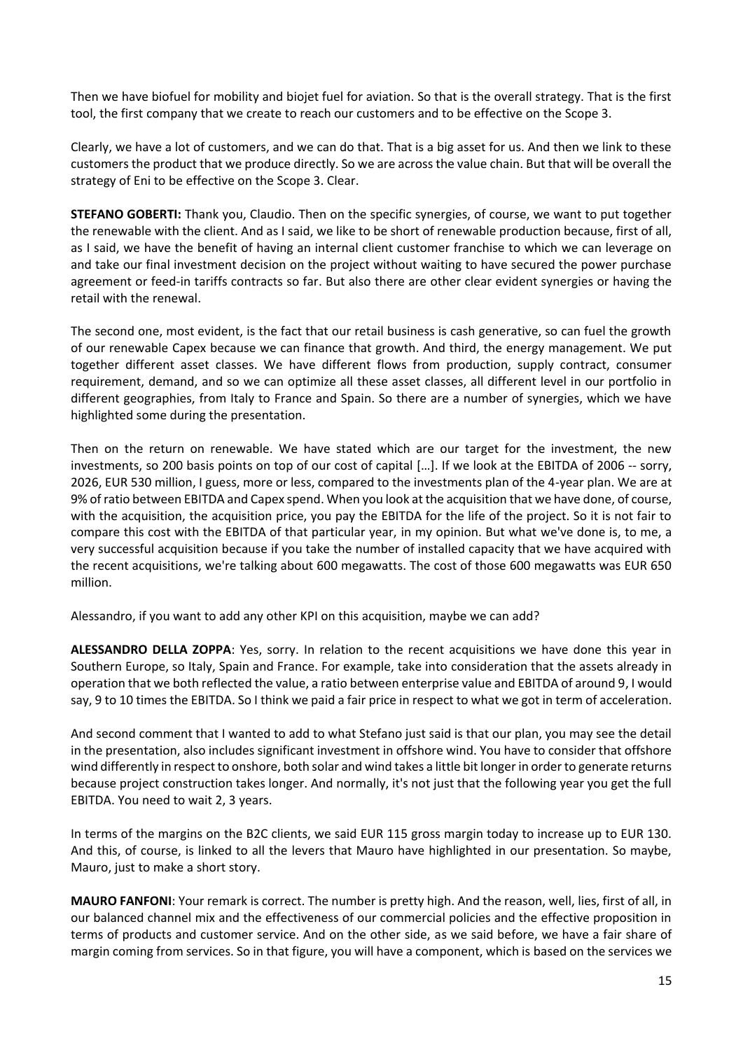Then we have biofuel for mobility and biojet fuel for aviation. So that is the overall strategy. That is the first tool, the first company that we create to reach our customers and to be effective on the Scope 3.

Clearly, we have a lot of customers, and we can do that. That is a big asset for us. And then we link to these customers the product that we produce directly. So we are across the value chain. But that will be overall the strategy of Eni to be effective on the Scope 3. Clear.

**STEFANO GOBERTI:** Thank you, Claudio. Then on the specific synergies, of course, we want to put together the renewable with the client. And as I said, we like to be short of renewable production because, first of all, as I said, we have the benefit of having an internal client customer franchise to which we can leverage on and take our final investment decision on the project without waiting to have secured the power purchase agreement or feed-in tariffs contracts so far. But also there are other clear evident synergies or having the retail with the renewal.

The second one, most evident, is the fact that our retail business is cash generative, so can fuel the growth of our renewable Capex because we can finance that growth. And third, the energy management. We put together different asset classes. We have different flows from production, supply contract, consumer requirement, demand, and so we can optimize all these asset classes, all different level in our portfolio in different geographies, from Italy to France and Spain. So there are a number of synergies, which we have highlighted some during the presentation.

Then on the return on renewable. We have stated which are our target for the investment, the new investments, so 200 basis points on top of our cost of capital […]. If we look at the EBITDA of 2006 -- sorry, 2026, EUR 530 million, I guess, more or less, compared to the investments plan of the 4-year plan. We are at 9% of ratio between EBITDA and Capex spend. When you look at the acquisition that we have done, of course, with the acquisition, the acquisition price, you pay the EBITDA for the life of the project. So it is not fair to compare this cost with the EBITDA of that particular year, in my opinion. But what we've done is, to me, a very successful acquisition because if you take the number of installed capacity that we have acquired with the recent acquisitions, we're talking about 600 megawatts. The cost of those 600 megawatts was EUR 650 million.

Alessandro, if you want to add any other KPI on this acquisition, maybe we can add?

**ALESSANDRO DELLA ZOPPA**: Yes, sorry. In relation to the recent acquisitions we have done this year in Southern Europe, so Italy, Spain and France. For example, take into consideration that the assets already in operation that we both reflected the value, a ratio between enterprise value and EBITDA of around 9, I would say, 9 to 10 times the EBITDA. So I think we paid a fair price in respect to what we got in term of acceleration.

And second comment that I wanted to add to what Stefano just said is that our plan, you may see the detail in the presentation, also includes significant investment in offshore wind. You have to consider that offshore wind differently in respect to onshore, both solar and wind takes a little bit longer in order to generate returns because project construction takes longer. And normally, it's not just that the following year you get the full EBITDA. You need to wait 2, 3 years.

In terms of the margins on the B2C clients, we said EUR 115 gross margin today to increase up to EUR 130. And this, of course, is linked to all the levers that Mauro have highlighted in our presentation. So maybe, Mauro, just to make a short story.

**MAURO FANFONI**: Your remark is correct. The number is pretty high. And the reason, well, lies, first of all, in our balanced channel mix and the effectiveness of our commercial policies and the effective proposition in terms of products and customer service. And on the other side, as we said before, we have a fair share of margin coming from services. So in that figure, you will have a component, which is based on the services we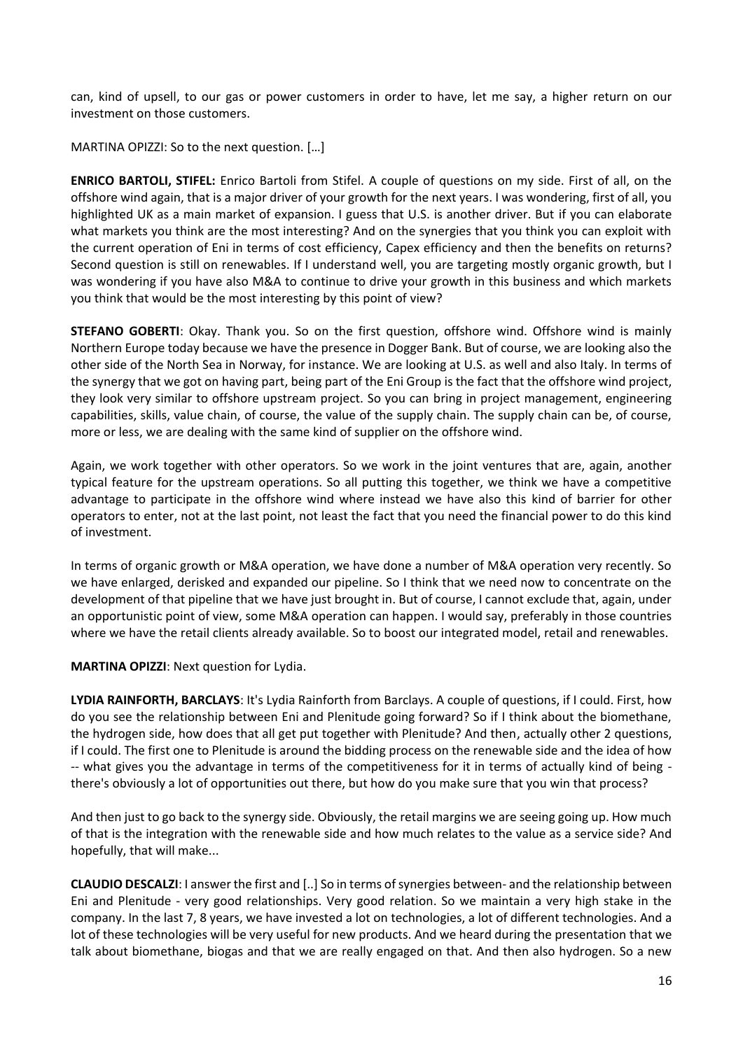can, kind of upsell, to our gas or power customers in order to have, let me say, a higher return on our investment on those customers.

MARTINA OPIZZI: So to the next question. […]

**ENRICO BARTOLI, STIFEL:** Enrico Bartoli from Stifel. A couple of questions on my side. First of all, on the offshore wind again, that is a major driver of your growth for the next years. I was wondering, first of all, you highlighted UK as a main market of expansion. I guess that U.S. is another driver. But if you can elaborate what markets you think are the most interesting? And on the synergies that you think you can exploit with the current operation of Eni in terms of cost efficiency, Capex efficiency and then the benefits on returns? Second question is still on renewables. If I understand well, you are targeting mostly organic growth, but I was wondering if you have also M&A to continue to drive your growth in this business and which markets you think that would be the most interesting by this point of view?

**STEFANO GOBERTI:** Okay. Thank you. So on the first question, offshore wind. Offshore wind is mainly Northern Europe today because we have the presence in Dogger Bank. But of course, we are looking also the other side of the North Sea in Norway, for instance. We are looking at U.S. as well and also Italy. In terms of the synergy that we got on having part, being part of the Eni Group is the fact that the offshore wind project, they look very similar to offshore upstream project. So you can bring in project management, engineering capabilities, skills, value chain, of course, the value of the supply chain. The supply chain can be, of course, more or less, we are dealing with the same kind of supplier on the offshore wind.

Again, we work together with other operators. So we work in the joint ventures that are, again, another typical feature for the upstream operations. So all putting this together, we think we have a competitive advantage to participate in the offshore wind where instead we have also this kind of barrier for other operators to enter, not at the last point, not least the fact that you need the financial power to do this kind of investment.

In terms of organic growth or M&A operation, we have done a number of M&A operation very recently. So we have enlarged, derisked and expanded our pipeline. So I think that we need now to concentrate on the development of that pipeline that we have just brought in. But of course, I cannot exclude that, again, under an opportunistic point of view, some M&A operation can happen. I would say, preferably in those countries where we have the retail clients already available. So to boost our integrated model, retail and renewables.

**MARTINA OPIZZI**: Next question for Lydia.

**LYDIA RAINFORTH, BARCLAYS**: It's Lydia Rainforth from Barclays. A couple of questions, if I could. First, how do you see the relationship between Eni and Plenitude going forward? So if I think about the biomethane, the hydrogen side, how does that all get put together with Plenitude? And then, actually other 2 questions, if I could. The first one to Plenitude is around the bidding process on the renewable side and the idea of how -- what gives you the advantage in terms of the competitiveness for it in terms of actually kind of being there's obviously a lot of opportunities out there, but how do you make sure that you win that process?

And then just to go back to the synergy side. Obviously, the retail margins we are seeing going up. How much of that is the integration with the renewable side and how much relates to the value as a service side? And hopefully, that will make...

**CLAUDIO DESCALZI**: I answer the first and [..] So in terms of synergies between- and the relationship between Eni and Plenitude - very good relationships. Very good relation. So we maintain a very high stake in the company. In the last 7, 8 years, we have invested a lot on technologies, a lot of different technologies. And a lot of these technologies will be very useful for new products. And we heard during the presentation that we talk about biomethane, biogas and that we are really engaged on that. And then also hydrogen. So a new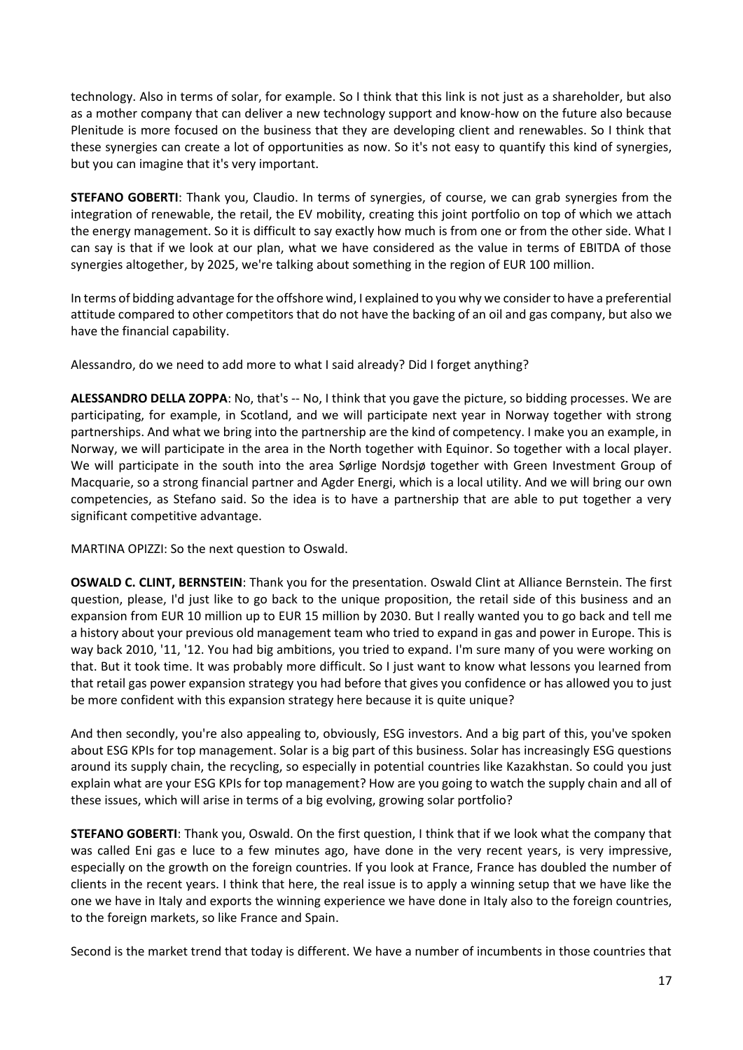technology. Also in terms of solar, for example. So I think that this link is not just as a shareholder, but also as a mother company that can deliver a new technology support and know-how on the future also because Plenitude is more focused on the business that they are developing client and renewables. So I think that these synergies can create a lot of opportunities as now. So it's not easy to quantify this kind of synergies, but you can imagine that it's very important.

**STEFANO GOBERTI**: Thank you, Claudio. In terms of synergies, of course, we can grab synergies from the integration of renewable, the retail, the EV mobility, creating this joint portfolio on top of which we attach the energy management. So it is difficult to say exactly how much is from one or from the other side. What I can say is that if we look at our plan, what we have considered as the value in terms of EBITDA of those synergies altogether, by 2025, we're talking about something in the region of EUR 100 million.

In terms of bidding advantage for the offshore wind, I explained to you why we consider to have a preferential attitude compared to other competitors that do not have the backing of an oil and gas company, but also we have the financial capability.

Alessandro, do we need to add more to what I said already? Did I forget anything?

**ALESSANDRO DELLA ZOPPA**: No, that's -- No, I think that you gave the picture, so bidding processes. We are participating, for example, in Scotland, and we will participate next year in Norway together with strong partnerships. And what we bring into the partnership are the kind of competency. I make you an example, in Norway, we will participate in the area in the North together with Equinor. So together with a local player. We will participate in the south into the area Sørlige Nordsjø together with Green Investment Group of Macquarie, so a strong financial partner and Agder Energi, which is a local utility. And we will bring our own competencies, as Stefano said. So the idea is to have a partnership that are able to put together a very significant competitive advantage.

MARTINA OPIZZI: So the next question to Oswald.

**OSWALD C. CLINT, BERNSTEIN**: Thank you for the presentation. Oswald Clint at Alliance Bernstein. The first question, please, I'd just like to go back to the unique proposition, the retail side of this business and an expansion from EUR 10 million up to EUR 15 million by 2030. But I really wanted you to go back and tell me a history about your previous old management team who tried to expand in gas and power in Europe. This is way back 2010, '11, '12. You had big ambitions, you tried to expand. I'm sure many of you were working on that. But it took time. It was probably more difficult. So I just want to know what lessons you learned from that retail gas power expansion strategy you had before that gives you confidence or has allowed you to just be more confident with this expansion strategy here because it is quite unique?

And then secondly, you're also appealing to, obviously, ESG investors. And a big part of this, you've spoken about ESG KPIs for top management. Solar is a big part of this business. Solar has increasingly ESG questions around its supply chain, the recycling, so especially in potential countries like Kazakhstan. So could you just explain what are your ESG KPIs for top management? How are you going to watch the supply chain and all of these issues, which will arise in terms of a big evolving, growing solar portfolio?

**STEFANO GOBERTI**: Thank you, Oswald. On the first question, I think that if we look what the company that was called Eni gas e luce to a few minutes ago, have done in the very recent years, is very impressive, especially on the growth on the foreign countries. If you look at France, France has doubled the number of clients in the recent years. I think that here, the real issue is to apply a winning setup that we have like the one we have in Italy and exports the winning experience we have done in Italy also to the foreign countries, to the foreign markets, so like France and Spain.

Second is the market trend that today is different. We have a number of incumbents in those countries that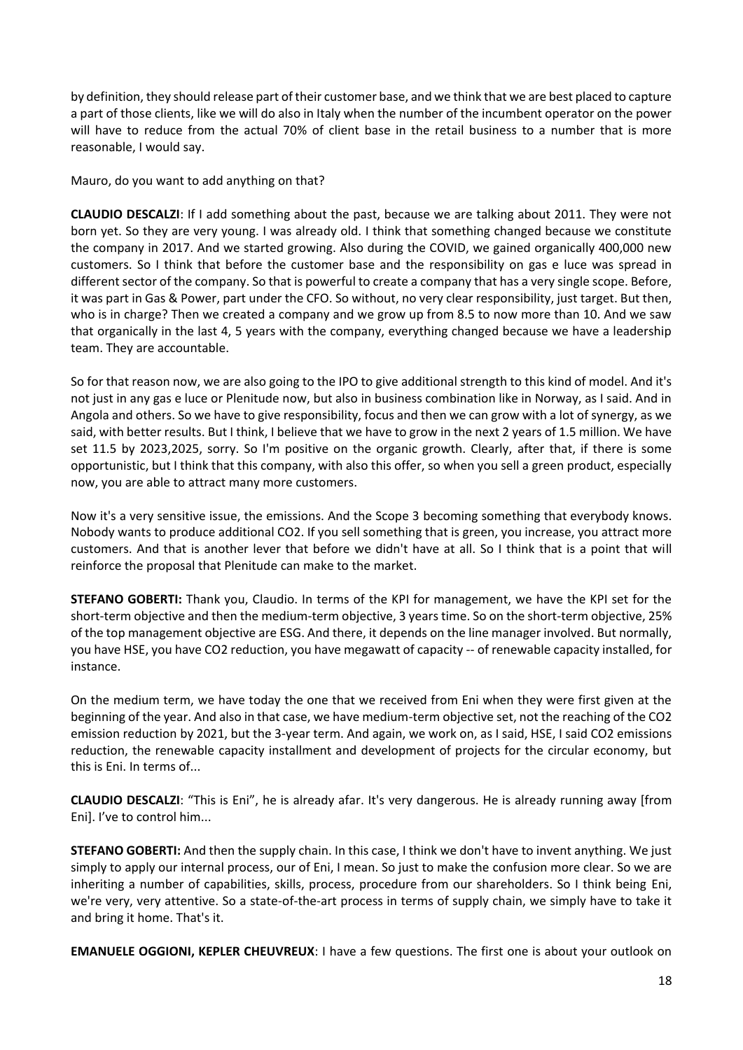by definition, they should release part of their customer base, and we think that we are best placed to capture a part of those clients, like we will do also in Italy when the number of the incumbent operator on the power will have to reduce from the actual 70% of client base in the retail business to a number that is more reasonable, I would say.

Mauro, do you want to add anything on that?

**CLAUDIO DESCALZI**: If I add something about the past, because we are talking about 2011. They were not born yet. So they are very young. I was already old. I think that something changed because we constitute the company in 2017. And we started growing. Also during the COVID, we gained organically 400,000 new customers. So I think that before the customer base and the responsibility on gas e luce was spread in different sector of the company. So that is powerful to create a company that has a very single scope. Before, it was part in Gas & Power, part under the CFO. So without, no very clear responsibility, just target. But then, who is in charge? Then we created a company and we grow up from 8.5 to now more than 10. And we saw that organically in the last 4, 5 years with the company, everything changed because we have a leadership team. They are accountable.

So for that reason now, we are also going to the IPO to give additional strength to this kind of model. And it's not just in any gas e luce or Plenitude now, but also in business combination like in Norway, as I said. And in Angola and others. So we have to give responsibility, focus and then we can grow with a lot of synergy, as we said, with better results. But I think, I believe that we have to grow in the next 2 years of 1.5 million. We have set 11.5 by 2023,2025, sorry. So I'm positive on the organic growth. Clearly, after that, if there is some opportunistic, but I think that this company, with also this offer, so when you sell a green product, especially now, you are able to attract many more customers.

Now it's a very sensitive issue, the emissions. And the Scope 3 becoming something that everybody knows. Nobody wants to produce additional CO2. If you sell something that is green, you increase, you attract more customers. And that is another lever that before we didn't have at all. So I think that is a point that will reinforce the proposal that Plenitude can make to the market.

**STEFANO GOBERTI:** Thank you, Claudio. In terms of the KPI for management, we have the KPI set for the short-term objective and then the medium-term objective, 3 years time. So on the short-term objective, 25% of the top management objective are ESG. And there, it depends on the line manager involved. But normally, you have HSE, you have CO2 reduction, you have megawatt of capacity -- of renewable capacity installed, for instance.

On the medium term, we have today the one that we received from Eni when they were first given at the beginning of the year. And also in that case, we have medium-term objective set, not the reaching of the CO2 emission reduction by 2021, but the 3-year term. And again, we work on, as I said, HSE, I said CO2 emissions reduction, the renewable capacity installment and development of projects for the circular economy, but this is Eni. In terms of...

**CLAUDIO DESCALZI**: "This is Eni", he is already afar. It's very dangerous. He is already running away [from Eni]. I've to control him...

**STEFANO GOBERTI:** And then the supply chain. In this case, I think we don't have to invent anything. We just simply to apply our internal process, our of Eni, I mean. So just to make the confusion more clear. So we are inheriting a number of capabilities, skills, process, procedure from our shareholders. So I think being Eni, we're very, very attentive. So a state-of-the-art process in terms of supply chain, we simply have to take it and bring it home. That's it.

**EMANUELE OGGIONI, KEPLER CHEUVREUX**: I have a few questions. The first one is about your outlook on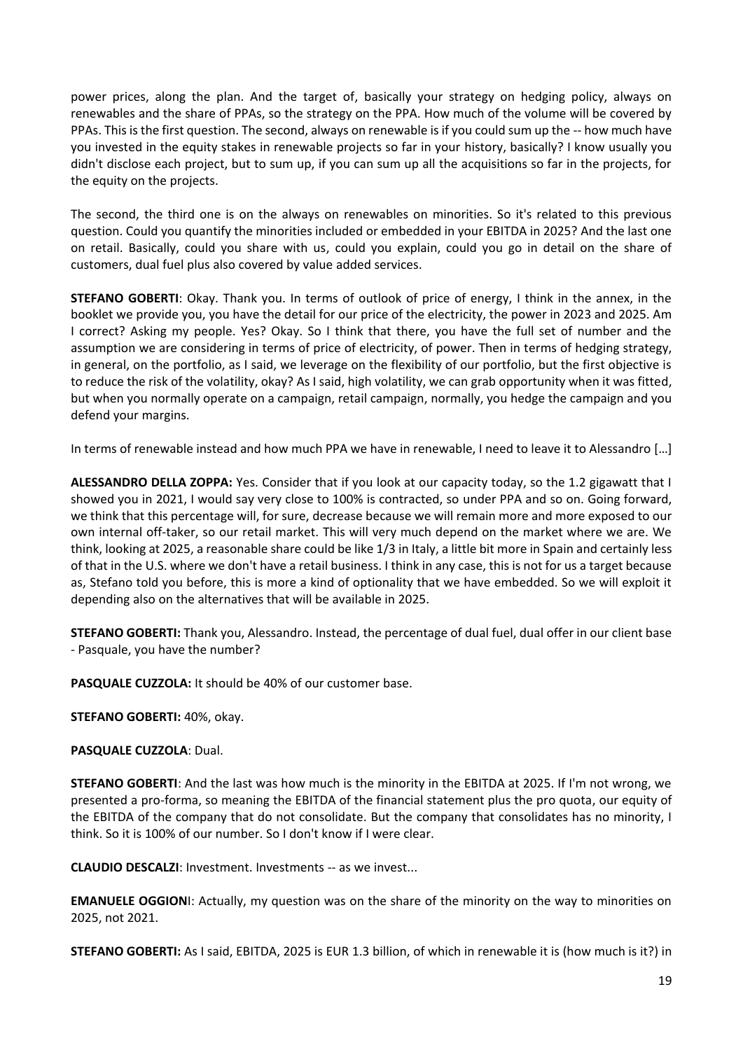power prices, along the plan. And the target of, basically your strategy on hedging policy, always on renewables and the share of PPAs, so the strategy on the PPA. How much of the volume will be covered by PPAs. This is the first question. The second, always on renewable is if you could sum up the -- how much have you invested in the equity stakes in renewable projects so far in your history, basically? I know usually you didn't disclose each project, but to sum up, if you can sum up all the acquisitions so far in the projects, for the equity on the projects.

The second, the third one is on the always on renewables on minorities. So it's related to this previous question. Could you quantify the minorities included or embedded in your EBITDA in 2025? And the last one on retail. Basically, could you share with us, could you explain, could you go in detail on the share of customers, dual fuel plus also covered by value added services.

**STEFANO GOBERTI**: Okay. Thank you. In terms of outlook of price of energy, I think in the annex, in the booklet we provide you, you have the detail for our price of the electricity, the power in 2023 and 2025. Am I correct? Asking my people. Yes? Okay. So I think that there, you have the full set of number and the assumption we are considering in terms of price of electricity, of power. Then in terms of hedging strategy, in general, on the portfolio, as I said, we leverage on the flexibility of our portfolio, but the first objective is to reduce the risk of the volatility, okay? As I said, high volatility, we can grab opportunity when it was fitted, but when you normally operate on a campaign, retail campaign, normally, you hedge the campaign and you defend your margins.

In terms of renewable instead and how much PPA we have in renewable, I need to leave it to Alessandro […]

**ALESSANDRO DELLA ZOPPA:** Yes. Consider that if you look at our capacity today, so the 1.2 gigawatt that I showed you in 2021, I would say very close to 100% is contracted, so under PPA and so on. Going forward, we think that this percentage will, for sure, decrease because we will remain more and more exposed to our own internal off-taker, so our retail market. This will very much depend on the market where we are. We think, looking at 2025, a reasonable share could be like 1/3 in Italy, a little bit more in Spain and certainly less of that in the U.S. where we don't have a retail business. I think in any case, this is not for us a target because as, Stefano told you before, this is more a kind of optionality that we have embedded. So we will exploit it depending also on the alternatives that will be available in 2025.

**STEFANO GOBERTI:** Thank you, Alessandro. Instead, the percentage of dual fuel, dual offer in our client base - Pasquale, you have the number?

**PASQUALE CUZZOLA:** It should be 40% of our customer base.

**STEFANO GOBERTI:** 40%, okay.

**PASQUALE CUZZOLA**: Dual.

**STEFANO GOBERTI**: And the last was how much is the minority in the EBITDA at 2025. If I'm not wrong, we presented a pro-forma, so meaning the EBITDA of the financial statement plus the pro quota, our equity of the EBITDA of the company that do not consolidate. But the company that consolidates has no minority, I think. So it is 100% of our number. So I don't know if I were clear.

**CLAUDIO DESCALZI**: Investment. Investments -- as we invest...

**EMANUELE OGGION**I: Actually, my question was on the share of the minority on the way to minorities on 2025, not 2021.

**STEFANO GOBERTI:** As I said, EBITDA, 2025 is EUR 1.3 billion, of which in renewable it is (how much is it?) in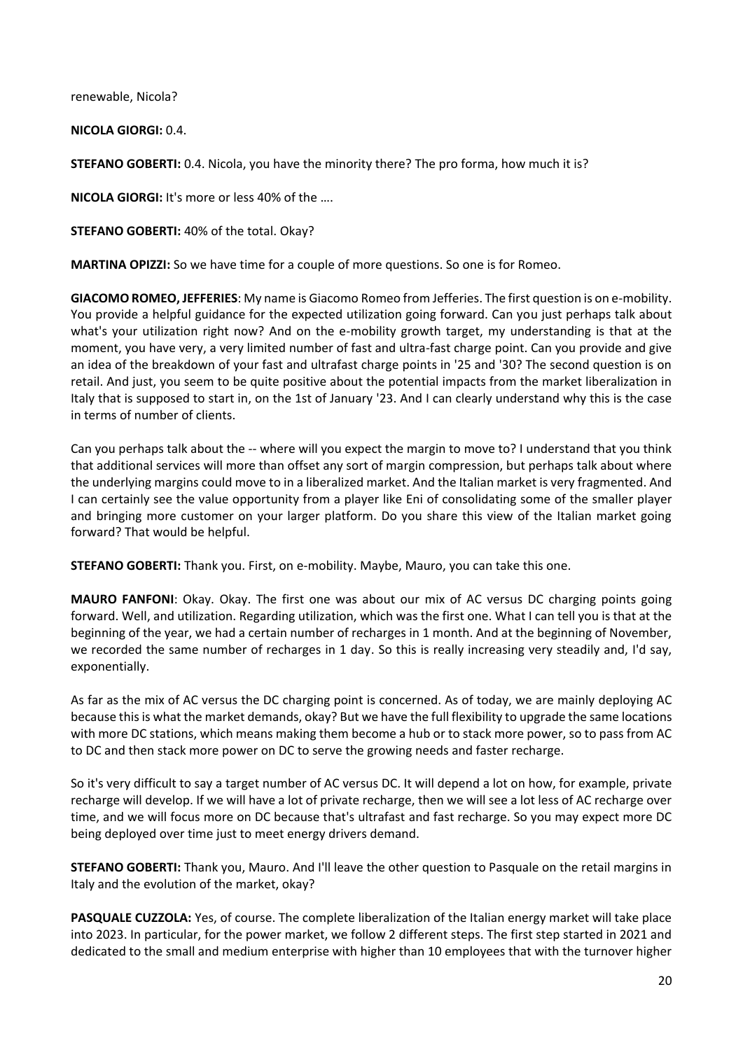renewable, Nicola?

**NICOLA GIORGI:** 0.4.

**STEFANO GOBERTI:** 0.4. Nicola, you have the minority there? The pro forma, how much it is?

**NICOLA GIORGI:** It's more or less 40% of the ….

**STEFANO GOBERTI:** 40% of the total. Okay?

**MARTINA OPIZZI:** So we have time for a couple of more questions. So one is for Romeo.

**GIACOMO ROMEO, JEFFERIES**: My name is Giacomo Romeo from Jefferies. The first question is on e-mobility. You provide a helpful guidance for the expected utilization going forward. Can you just perhaps talk about what's your utilization right now? And on the e-mobility growth target, my understanding is that at the moment, you have very, a very limited number of fast and ultra-fast charge point. Can you provide and give an idea of the breakdown of your fast and ultrafast charge points in '25 and '30? The second question is on retail. And just, you seem to be quite positive about the potential impacts from the market liberalization in Italy that is supposed to start in, on the 1st of January '23. And I can clearly understand why this is the case in terms of number of clients.

Can you perhaps talk about the -- where will you expect the margin to move to? I understand that you think that additional services will more than offset any sort of margin compression, but perhaps talk about where the underlying margins could move to in a liberalized market. And the Italian market is very fragmented. And I can certainly see the value opportunity from a player like Eni of consolidating some of the smaller player and bringing more customer on your larger platform. Do you share this view of the Italian market going forward? That would be helpful.

**STEFANO GOBERTI:** Thank you. First, on e-mobility. Maybe, Mauro, you can take this one.

**MAURO FANFONI**: Okay. Okay. The first one was about our mix of AC versus DC charging points going forward. Well, and utilization. Regarding utilization, which was the first one. What I can tell you is that at the beginning of the year, we had a certain number of recharges in 1 month. And at the beginning of November, we recorded the same number of recharges in 1 day. So this is really increasing very steadily and, I'd say, exponentially.

As far as the mix of AC versus the DC charging point is concerned. As of today, we are mainly deploying AC because this is what the market demands, okay? But we have the full flexibility to upgrade the same locations with more DC stations, which means making them become a hub or to stack more power, so to pass from AC to DC and then stack more power on DC to serve the growing needs and faster recharge.

So it's very difficult to say a target number of AC versus DC. It will depend a lot on how, for example, private recharge will develop. If we will have a lot of private recharge, then we will see a lot less of AC recharge over time, and we will focus more on DC because that's ultrafast and fast recharge. So you may expect more DC being deployed over time just to meet energy drivers demand.

**STEFANO GOBERTI:** Thank you, Mauro. And I'll leave the other question to Pasquale on the retail margins in Italy and the evolution of the market, okay?

**PASQUALE CUZZOLA:** Yes, of course. The complete liberalization of the Italian energy market will take place into 2023. In particular, for the power market, we follow 2 different steps. The first step started in 2021 and dedicated to the small and medium enterprise with higher than 10 employees that with the turnover higher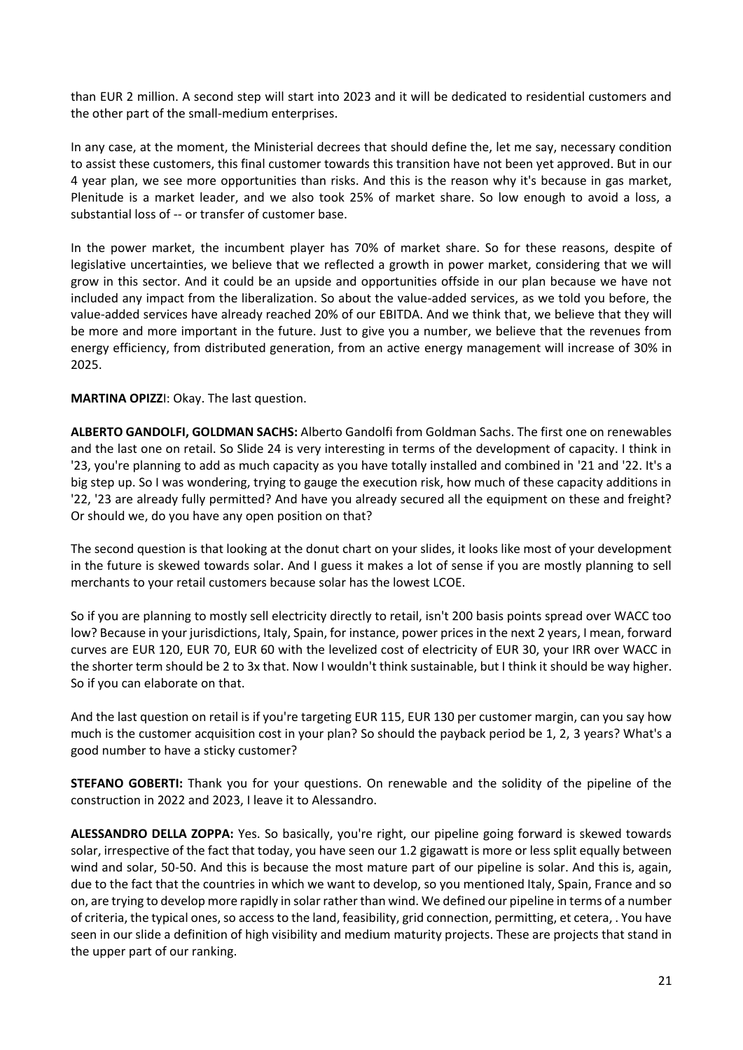than EUR 2 million. A second step will start into 2023 and it will be dedicated to residential customers and the other part of the small-medium enterprises.

In any case, at the moment, the Ministerial decrees that should define the, let me say, necessary condition to assist these customers, this final customer towards this transition have not been yet approved. But in our 4 year plan, we see more opportunities than risks. And this is the reason why it's because in gas market, Plenitude is a market leader, and we also took 25% of market share. So low enough to avoid a loss, a substantial loss of -- or transfer of customer base.

In the power market, the incumbent player has 70% of market share. So for these reasons, despite of legislative uncertainties, we believe that we reflected a growth in power market, considering that we will grow in this sector. And it could be an upside and opportunities offside in our plan because we have not included any impact from the liberalization. So about the value-added services, as we told you before, the value-added services have already reached 20% of our EBITDA. And we think that, we believe that they will be more and more important in the future. Just to give you a number, we believe that the revenues from energy efficiency, from distributed generation, from an active energy management will increase of 30% in 2025.

#### **MARTINA OPIZZ**I: Okay. The last question.

**ALBERTO GANDOLFI, GOLDMAN SACHS:** Alberto Gandolfi from Goldman Sachs. The first one on renewables and the last one on retail. So Slide 24 is very interesting in terms of the development of capacity. I think in '23, you're planning to add as much capacity as you have totally installed and combined in '21 and '22. It's a big step up. So I was wondering, trying to gauge the execution risk, how much of these capacity additions in '22, '23 are already fully permitted? And have you already secured all the equipment on these and freight? Or should we, do you have any open position on that?

The second question is that looking at the donut chart on your slides, it looks like most of your development in the future is skewed towards solar. And I guess it makes a lot of sense if you are mostly planning to sell merchants to your retail customers because solar has the lowest LCOE.

So if you are planning to mostly sell electricity directly to retail, isn't 200 basis points spread over WACC too low? Because in your jurisdictions, Italy, Spain, for instance, power prices in the next 2 years, I mean, forward curves are EUR 120, EUR 70, EUR 60 with the levelized cost of electricity of EUR 30, your IRR over WACC in the shorter term should be 2 to 3x that. Now I wouldn't think sustainable, but I think it should be way higher. So if you can elaborate on that.

And the last question on retail is if you're targeting EUR 115, EUR 130 per customer margin, can you say how much is the customer acquisition cost in your plan? So should the payback period be 1, 2, 3 years? What's a good number to have a sticky customer?

**STEFANO GOBERTI:** Thank you for your questions. On renewable and the solidity of the pipeline of the construction in 2022 and 2023, I leave it to Alessandro.

**ALESSANDRO DELLA ZOPPA:** Yes. So basically, you're right, our pipeline going forward is skewed towards solar, irrespective of the fact that today, you have seen our 1.2 gigawatt is more or less split equally between wind and solar, 50-50. And this is because the most mature part of our pipeline is solar. And this is, again, due to the fact that the countries in which we want to develop, so you mentioned Italy, Spain, France and so on, are trying to develop more rapidly in solar rather than wind. We defined our pipeline in terms of a number of criteria, the typical ones, so access to the land, feasibility, grid connection, permitting, et cetera, . You have seen in our slide a definition of high visibility and medium maturity projects. These are projects that stand in the upper part of our ranking.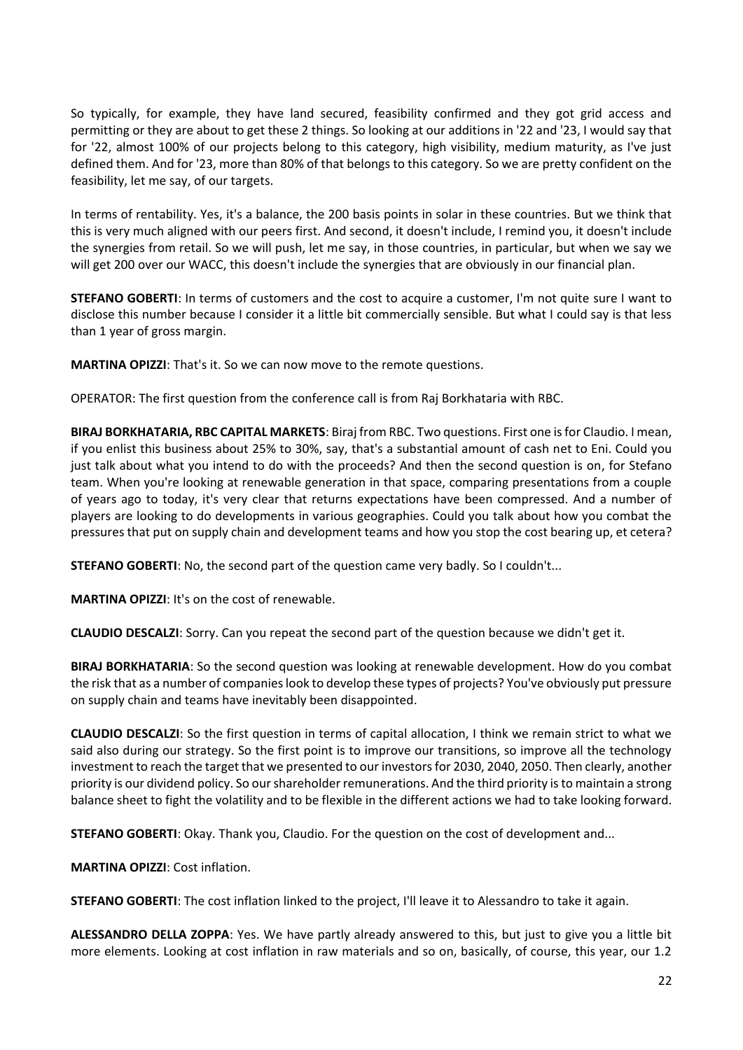So typically, for example, they have land secured, feasibility confirmed and they got grid access and permitting or they are about to get these 2 things. So looking at our additions in '22 and '23, I would say that for '22, almost 100% of our projects belong to this category, high visibility, medium maturity, as I've just defined them. And for '23, more than 80% of that belongs to this category. So we are pretty confident on the feasibility, let me say, of our targets.

In terms of rentability. Yes, it's a balance, the 200 basis points in solar in these countries. But we think that this is very much aligned with our peers first. And second, it doesn't include, I remind you, it doesn't include the synergies from retail. So we will push, let me say, in those countries, in particular, but when we say we will get 200 over our WACC, this doesn't include the synergies that are obviously in our financial plan.

**STEFANO GOBERTI**: In terms of customers and the cost to acquire a customer, I'm not quite sure I want to disclose this number because I consider it a little bit commercially sensible. But what I could say is that less than 1 year of gross margin.

**MARTINA OPIZZI**: That's it. So we can now move to the remote questions.

OPERATOR: The first question from the conference call is from Raj Borkhataria with RBC.

**BIRAJ BORKHATARIA, RBC CAPITAL MARKETS**: Biraj from RBC. Two questions. First one is for Claudio. I mean, if you enlist this business about 25% to 30%, say, that's a substantial amount of cash net to Eni. Could you just talk about what you intend to do with the proceeds? And then the second question is on, for Stefano team. When you're looking at renewable generation in that space, comparing presentations from a couple of years ago to today, it's very clear that returns expectations have been compressed. And a number of players are looking to do developments in various geographies. Could you talk about how you combat the pressures that put on supply chain and development teams and how you stop the cost bearing up, et cetera?

**STEFANO GOBERTI:** No, the second part of the question came very badly. So I couldn't...

**MARTINA OPIZZI**: It's on the cost of renewable.

**CLAUDIO DESCALZI**: Sorry. Can you repeat the second part of the question because we didn't get it.

**BIRAJ BORKHATARIA**: So the second question was looking at renewable development. How do you combat the risk that as a number of companies look to develop these types of projects? You've obviously put pressure on supply chain and teams have inevitably been disappointed.

**CLAUDIO DESCALZI**: So the first question in terms of capital allocation, I think we remain strict to what we said also during our strategy. So the first point is to improve our transitions, so improve all the technology investment to reach the target that we presented to our investors for 2030, 2040, 2050. Then clearly, another priority is our dividend policy. So our shareholder remunerations. And the third priority is to maintain a strong balance sheet to fight the volatility and to be flexible in the different actions we had to take looking forward.

**STEFANO GOBERTI**: Okay. Thank you, Claudio. For the question on the cost of development and...

**MARTINA OPIZZI**: Cost inflation.

**STEFANO GOBERTI**: The cost inflation linked to the project, I'll leave it to Alessandro to take it again.

**ALESSANDRO DELLA ZOPPA**: Yes. We have partly already answered to this, but just to give you a little bit more elements. Looking at cost inflation in raw materials and so on, basically, of course, this year, our 1.2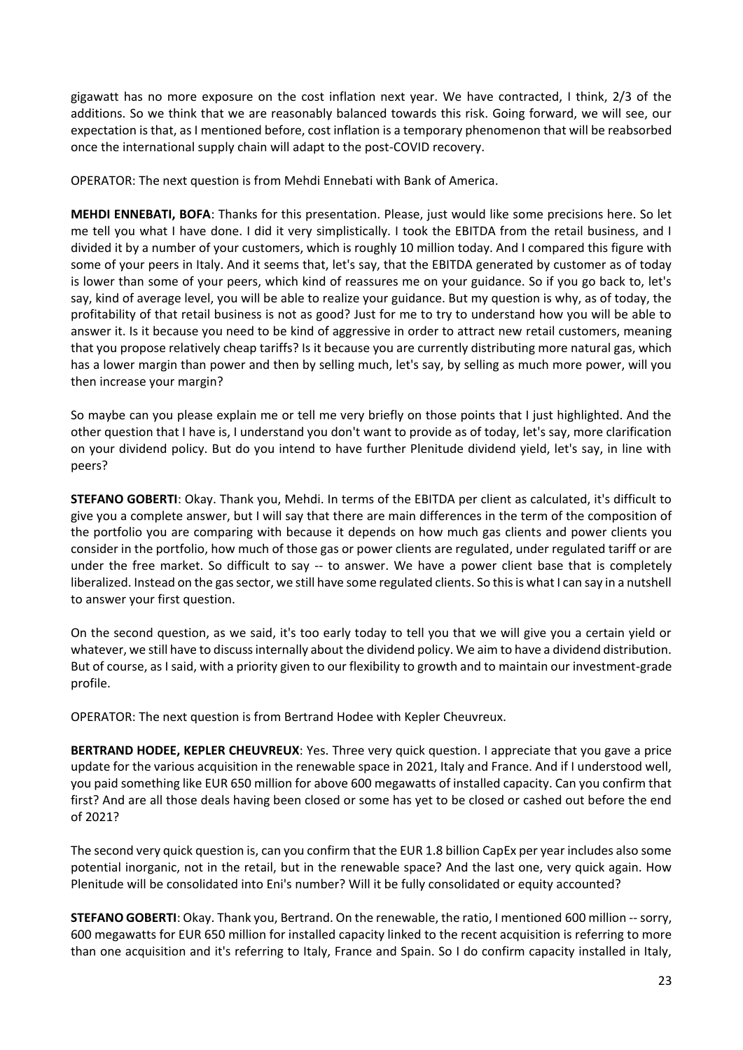gigawatt has no more exposure on the cost inflation next year. We have contracted, I think, 2/3 of the additions. So we think that we are reasonably balanced towards this risk. Going forward, we will see, our expectation is that, as I mentioned before, cost inflation is a temporary phenomenon that will be reabsorbed once the international supply chain will adapt to the post-COVID recovery.

OPERATOR: The next question is from Mehdi Ennebati with Bank of America.

**MEHDI ENNEBATI, BOFA**: Thanks for this presentation. Please, just would like some precisions here. So let me tell you what I have done. I did it very simplistically. I took the EBITDA from the retail business, and I divided it by a number of your customers, which is roughly 10 million today. And I compared this figure with some of your peers in Italy. And it seems that, let's say, that the EBITDA generated by customer as of today is lower than some of your peers, which kind of reassures me on your guidance. So if you go back to, let's say, kind of average level, you will be able to realize your guidance. But my question is why, as of today, the profitability of that retail business is not as good? Just for me to try to understand how you will be able to answer it. Is it because you need to be kind of aggressive in order to attract new retail customers, meaning that you propose relatively cheap tariffs? Is it because you are currently distributing more natural gas, which has a lower margin than power and then by selling much, let's say, by selling as much more power, will you then increase your margin?

So maybe can you please explain me or tell me very briefly on those points that I just highlighted. And the other question that I have is, I understand you don't want to provide as of today, let's say, more clarification on your dividend policy. But do you intend to have further Plenitude dividend yield, let's say, in line with peers?

**STEFANO GOBERTI**: Okay. Thank you, Mehdi. In terms of the EBITDA per client as calculated, it's difficult to give you a complete answer, but I will say that there are main differences in the term of the composition of the portfolio you are comparing with because it depends on how much gas clients and power clients you consider in the portfolio, how much of those gas or power clients are regulated, under regulated tariff or are under the free market. So difficult to say -- to answer. We have a power client base that is completely liberalized. Instead on the gas sector, we still have some regulated clients. So this is what I can say in a nutshell to answer your first question.

On the second question, as we said, it's too early today to tell you that we will give you a certain yield or whatever, we still have to discuss internally about the dividend policy. We aim to have a dividend distribution. But of course, as I said, with a priority given to our flexibility to growth and to maintain our investment-grade profile.

OPERATOR: The next question is from Bertrand Hodee with Kepler Cheuvreux.

**BERTRAND HODEE, KEPLER CHEUVREUX**: Yes. Three very quick question. I appreciate that you gave a price update for the various acquisition in the renewable space in 2021, Italy and France. And if I understood well, you paid something like EUR 650 million for above 600 megawatts of installed capacity. Can you confirm that first? And are all those deals having been closed or some has yet to be closed or cashed out before the end of 2021?

The second very quick question is, can you confirm that the EUR 1.8 billion CapEx per year includes also some potential inorganic, not in the retail, but in the renewable space? And the last one, very quick again. How Plenitude will be consolidated into Eni's number? Will it be fully consolidated or equity accounted?

**STEFANO GOBERTI**: Okay. Thank you, Bertrand. On the renewable, the ratio, I mentioned 600 million --sorry, 600 megawatts for EUR 650 million for installed capacity linked to the recent acquisition is referring to more than one acquisition and it's referring to Italy, France and Spain. So I do confirm capacity installed in Italy,